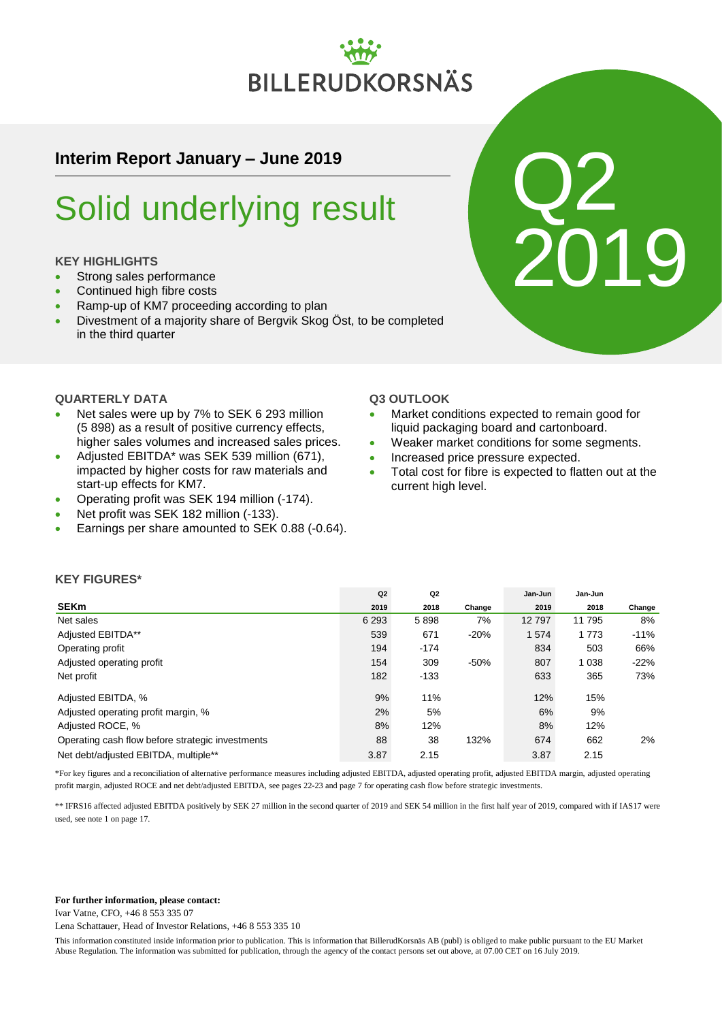# **BILLERUDKORSNÄS**

# **Interim Report January – June 2019**

# Solid underlying result

# **KEY HIGHLIGHTS**

- Strong sales performance
- Continued high fibre costs
- Ramp-up of KM7 proceeding according to plan
- Divestment of a majority share of Bergvik Skog Öst, to be completed in the third quarter

# **QUARTERLY DATA**

- Net sales were up by 7% to SEK 6 293 million (5 898) as a result of positive currency effects, higher sales volumes and increased sales prices.
- Adjusted EBITDA\* was SEK 539 million (671), impacted by higher costs for raw materials and start-up effects for KM7.
- Operating profit was SEK 194 million (-174).
- Net profit was SEK 182 million (-133).
- **Earnings per share amounted to SEK 0.88 (-0.64).**

## **Q3 OUTLOOK**

 Market conditions expected to remain good for liquid packaging board and cartonboard.

Q2

2019

- Weaker market conditions for some segments.
- Increased price pressure expected.
- Total cost for fibre is expected to flatten out at the current high level.

# **KEY FIGURES\***

|                                                  | Q2      | Q <sub>2</sub> |        | Jan-Jun | Jan-Jun |        |
|--------------------------------------------------|---------|----------------|--------|---------|---------|--------|
| <b>SEKm</b>                                      | 2019    | 2018           | Change | 2019    | 2018    | Change |
| Net sales                                        | 6 2 9 3 | 5898           | 7%     | 12797   | 11 795  | 8%     |
| Adjusted EBITDA**                                | 539     | 671            | $-20%$ | 1574    | 1773    | $-11%$ |
| Operating profit                                 | 194     | $-174$         |        | 834     | 503     | 66%    |
| Adjusted operating profit                        | 154     | 309            | $-50%$ | 807     | 1 0 3 8 | $-22%$ |
| Net profit                                       | 182     | $-133$         |        | 633     | 365     | 73%    |
| Adjusted EBITDA, %                               | 9%      | 11%            |        | 12%     | 15%     |        |
| Adjusted operating profit margin, %              | 2%      | 5%             |        | 6%      | 9%      |        |
| Adjusted ROCE, %                                 | 8%      | 12%            |        | 8%      | 12%     |        |
| Operating cash flow before strategic investments | 88      | 38             | 132%   | 674     | 662     | 2%     |
| Net debt/adiusted EBITDA, multiple**             | 3.87    | 2.15           |        | 3.87    | 2.15    |        |

\*For key figures and a reconciliation of alternative performance measures including adjusted EBITDA, adjusted operating profit, adjusted EBITDA margin, adjusted operating profit margin, adjusted ROCE and net debt/adjusted EBITDA, see pages 22-23 and page 7 for operating cash flow before strategic investments.

\*\* IFRS16 affected adjusted EBITDA positively by SEK 27 million in the second quarter of 2019 and SEK 54 million in the first half year of 2019, compared with if IAS17 were used, see note 1 on page 17.

#### **For further information, please contact:**

Ivar Vatne, CFO, +46 8 553 335 07

Lena Schattauer, Head of Investor Relations, +46 8 553 335 10

This information constituted inside information prior to publication. This is information that BillerudKorsnäs AB (publ) is obliged to make public pursuant to the EU Market Abuse Regulation. The information was submitted for publication, through the agency of the contact persons set out above, at 07.00 CET on 16 July 2019.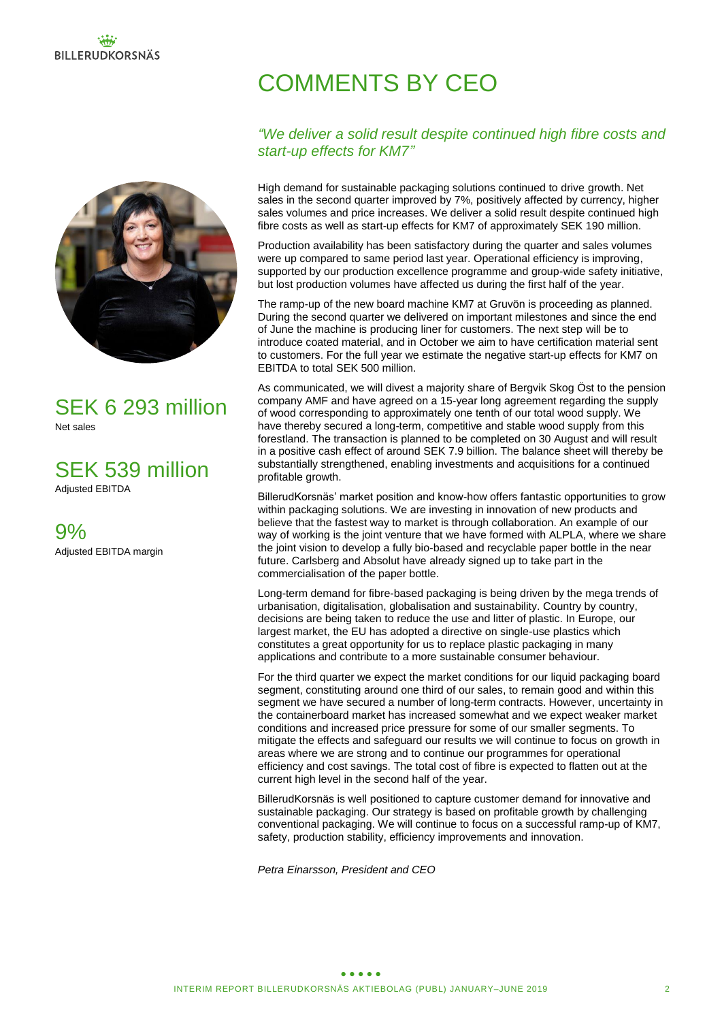

SEK 6 293 million Net sales

SEK 539 million Adjusted EBITDA

9% Adjusted EBITDA margin

# COMMENTS BY CEO

# *"We deliver a solid result despite continued high fibre costs and start-up effects for KM7"*

High demand for sustainable packaging solutions continued to drive growth. Net sales in the second quarter improved by 7%, positively affected by currency, higher sales volumes and price increases. We deliver a solid result despite continued high fibre costs as well as start-up effects for KM7 of approximately SEK 190 million.

Production availability has been satisfactory during the quarter and sales volumes were up compared to same period last year. Operational efficiency is improving, supported by our production excellence programme and group-wide safety initiative, but lost production volumes have affected us during the first half of the year.

The ramp-up of the new board machine KM7 at Gruvön is proceeding as planned. During the second quarter we delivered on important milestones and since the end of June the machine is producing liner for customers. The next step will be to introduce coated material, and in October we aim to have certification material sent to customers. For the full year we estimate the negative start-up effects for KM7 on EBITDA to total SEK 500 million.

As communicated, we will divest a majority share of Bergvik Skog Öst to the pension company AMF and have agreed on a 15-year long agreement regarding the supply of wood corresponding to approximately one tenth of our total wood supply. We have thereby secured a long-term, competitive and stable wood supply from this forestland. The transaction is planned to be completed on 30 August and will result in a positive cash effect of around SEK 7.9 billion. The balance sheet will thereby be substantially strengthened, enabling investments and acquisitions for a continued profitable growth.

BillerudKorsnäs' market position and know-how offers fantastic opportunities to grow within packaging solutions. We are investing in innovation of new products and believe that the fastest way to market is through collaboration. An example of our way of working is the joint venture that we have formed with ALPLA, where we share the joint vision to develop a fully bio-based and recyclable paper bottle in the near future. Carlsberg and Absolut have already signed up to take part in the commercialisation of the paper bottle.

Long-term demand for fibre-based packaging is being driven by the mega trends of urbanisation, digitalisation, globalisation and sustainability. Country by country, decisions are being taken to reduce the use and litter of plastic. In Europe, our largest market, the EU has adopted a directive on single-use plastics which constitutes a great opportunity for us to replace plastic packaging in many applications and contribute to a more sustainable consumer behaviour.

For the third quarter we expect the market conditions for our liquid packaging board segment, constituting around one third of our sales, to remain good and within this segment we have secured a number of long-term contracts. However, uncertainty in the containerboard market has increased somewhat and we expect weaker market conditions and increased price pressure for some of our smaller segments. To mitigate the effects and safeguard our results we will continue to focus on growth in areas where we are strong and to continue our programmes for operational efficiency and cost savings. The total cost of fibre is expected to flatten out at the current high level in the second half of the year.

BillerudKorsnäs is well positioned to capture customer demand for innovative and sustainable packaging. Our strategy is based on profitable growth by challenging conventional packaging. We will continue to focus on a successful ramp-up of KM7, safety, production stability, efficiency improvements and innovation.

*Petra Einarsson, President and CEO*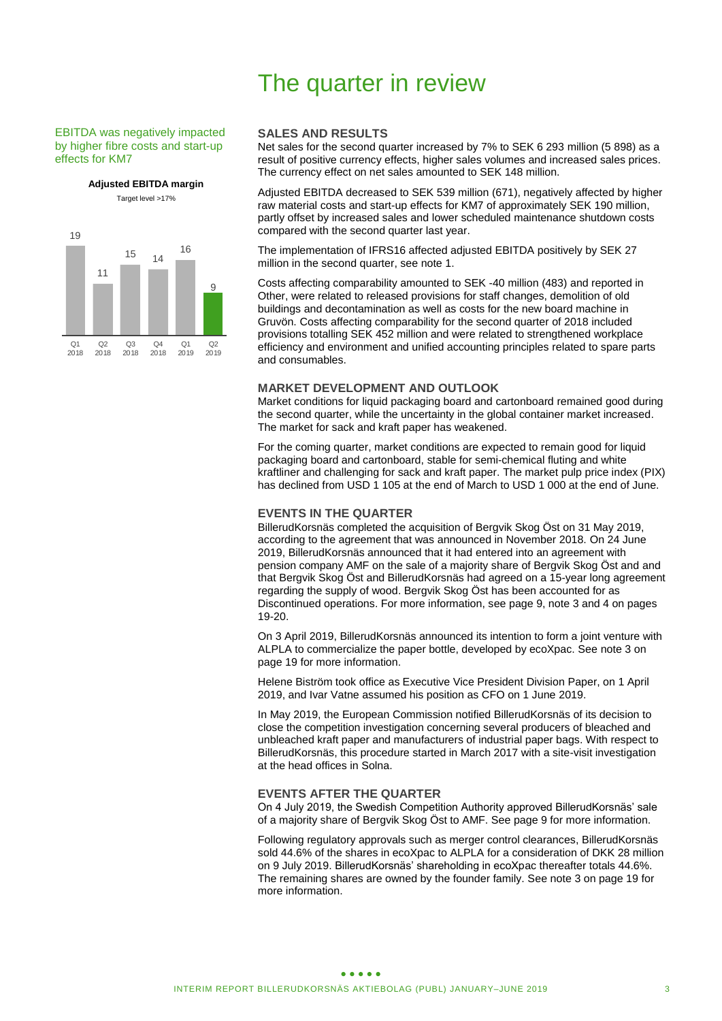#### EBITDA was negatively impacted by higher fibre costs and start-up effects for KM7

**Adjusted EBITDA margin** Target level >17%



# **SALES AND RESULTS**

The quarter in review

Net sales for the second quarter increased by 7% to SEK 6 293 million (5 898) as a result of positive currency effects, higher sales volumes and increased sales prices. The currency effect on net sales amounted to SEK 148 million.

Adjusted EBITDA decreased to SEK 539 million (671), negatively affected by higher raw material costs and start-up effects for KM7 of approximately SEK 190 million, partly offset by increased sales and lower scheduled maintenance shutdown costs compared with the second quarter last year.

The implementation of IFRS16 affected adjusted EBITDA positively by SEK 27 million in the second quarter, see note 1.

Costs affecting comparability amounted to SEK -40 million (483) and reported in Other, were related to released provisions for staff changes, demolition of old buildings and decontamination as well as costs for the new board machine in Gruvön. Costs affecting comparability for the second quarter of 2018 included provisions totalling SEK 452 million and were related to strengthened workplace efficiency and environment and unified accounting principles related to spare parts and consumables.

#### **MARKET DEVELOPMENT AND OUTLOOK**

Market conditions for liquid packaging board and cartonboard remained good during the second quarter, while the uncertainty in the global container market increased. The market for sack and kraft paper has weakened.

For the coming quarter, market conditions are expected to remain good for liquid packaging board and cartonboard, stable for semi-chemical fluting and white kraftliner and challenging for sack and kraft paper. The market pulp price index (PIX) has declined from USD 1 105 at the end of March to USD 1 000 at the end of June.

#### **EVENTS IN THE QUARTER**

BillerudKorsnäs completed the acquisition of Bergvik Skog Öst on 31 May 2019, according to the agreement that was announced in November 2018. On 24 June 2019, BillerudKorsnäs announced that it had entered into an agreement with pension company AMF on the sale of a majority share of Bergvik Skog Öst and and that Bergvik Skog Öst and BillerudKorsnäs had agreed on a 15-year long agreement regarding the supply of wood. Bergvik Skog Öst has been accounted for as Discontinued operations. For more information, see page 9, note 3 and 4 on pages 19-20.

On 3 April 2019, BillerudKorsnäs announced its intention to form a joint venture with ALPLA to commercialize the paper bottle, developed by ecoXpac. See note 3 on page 19 for more information.

Helene Biström took office as Executive Vice President Division Paper, on 1 April 2019, and Ivar Vatne assumed his position as CFO on 1 June 2019.

In May 2019, the European Commission notified BillerudKorsnäs of its decision to close the competition investigation concerning several producers of bleached and unbleached kraft paper and manufacturers of industrial paper bags. With respect to BillerudKorsnäs, this procedure started in March 2017 with a site-visit investigation at the head offices in Solna.

### **EVENTS AFTER THE QUARTER**

On 4 July 2019, the Swedish Competition Authority approved BillerudKorsnäs' sale of a majority share of Bergvik Skog Öst to AMF. See page 9 for more information.

Following regulatory approvals such as merger control clearances, BillerudKorsnäs sold 44.6% of the shares in ecoXpac to ALPLA for a consideration of DKK 28 million on 9 July 2019. BillerudKorsnäs' shareholding in ecoXpac thereafter totals 44.6%. The remaining shares are owned by the founder family. See note 3 on page 19 for more information.

#### $\bullet\bullet\bullet\bullet\bullet$ INTERIM REPORT BILLERUDKORSNÄS AKTIEBOLAG (PUBL) JANUARY–JUNE 2019 3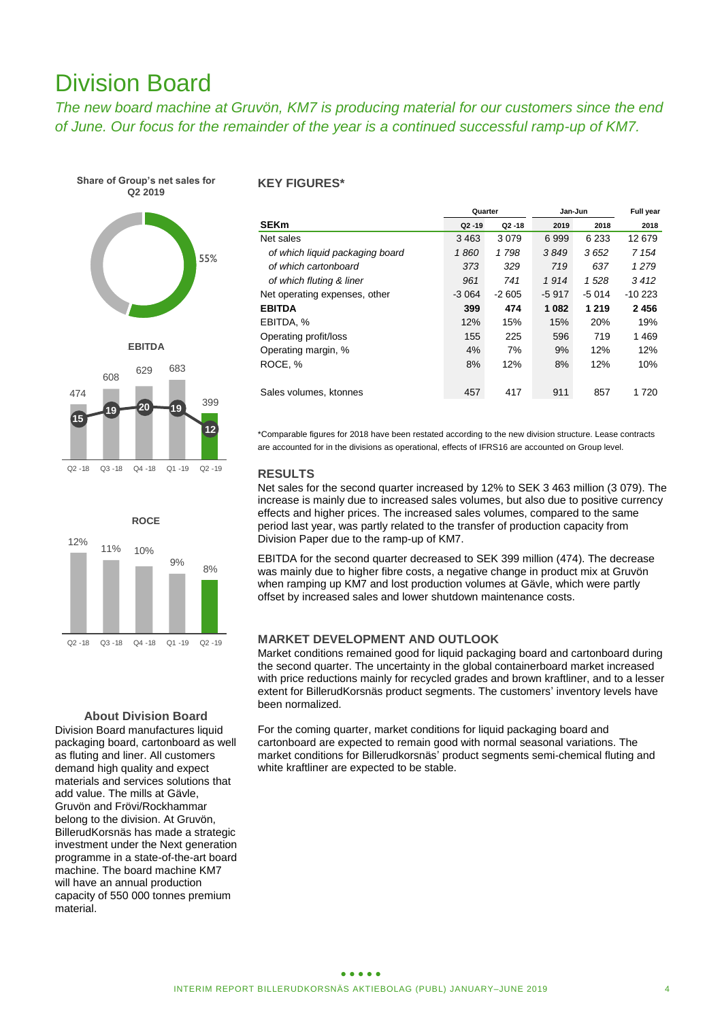# Division Board

*The new board machine at Gruvön, KM7 is producing material for our customers since the end of June. Our focus for the remainder of the year is a continued successful ramp-up of KM7.*

**Share of Group's net sales for Q2 2019**







#### **About Division Board**

Division Board manufactures liquid packaging board, cartonboard as well as fluting and liner. All customers demand high quality and expect materials and services solutions that add value. The mills at Gävle, Gruvön and Frövi/Rockhammar belong to the division. At Gruvön, BillerudKorsnäs has made a strategic investment under the Next generation programme in a state-of-the-art board machine. The board machine KM7 will have an annual production capacity of 550 000 tonnes premium material.

### **KEY FIGURES\***

|                                 | Quarter   |           | Jan-Jun | Full year |          |
|---------------------------------|-----------|-----------|---------|-----------|----------|
| <b>SEKm</b>                     | $Q2 - 19$ | $Q2 - 18$ | 2019    | 2018      | 2018     |
| Net sales                       | 3 4 6 3   | 3079      | 6999    | 6 2 3 3   | 12 679   |
| of which liquid packaging board | 1860      | 1798      | 3849    | 3652      | 7 1 5 4  |
| of which cartonboard            | 373       | 329       | 719     | 637       | 1279     |
| of which fluting & liner        | 961       | 741       | 1914    | 1528      | 3412     |
| Net operating expenses, other   | $-3064$   | $-2605$   | $-5917$ | $-5014$   | $-10223$ |
| <b>EBITDA</b>                   | 399       | 474       | 1 0 8 2 | 1 2 1 9   | 2456     |
| EBITDA, %                       | 12%       | 15%       | 15%     | 20%       | 19%      |
| Operating profit/loss           | 155       | 225       | 596     | 719       | 1469     |
| Operating margin, %             | 4%        | 7%        | 9%      | 12%       | 12%      |
| ROCE, %                         | 8%        | 12%       | 8%      | 12%       | 10%      |
|                                 |           |           |         |           |          |
| Sales volumes, ktonnes          | 457       | 417       | 911     | 857       | 1 7 2 0  |

\*Comparable figures for 2018 have been restated according to the new division structure. Lease contracts are accounted for in the divisions as operational, effects of IFRS16 are accounted on Group level.

## **RESULTS**

Net sales for the second quarter increased by 12% to SEK 3 463 million (3 079). The increase is mainly due to increased sales volumes, but also due to positive currency effects and higher prices. The increased sales volumes, compared to the same period last year, was partly related to the transfer of production capacity from Division Paper due to the ramp-up of KM7.

EBITDA for the second quarter decreased to SEK 399 million (474). The decrease was mainly due to higher fibre costs, a negative change in product mix at Gruvön when ramping up KM7 and lost production volumes at Gävle, which were partly offset by increased sales and lower shutdown maintenance costs.

### **MARKET DEVELOPMENT AND OUTLOOK**

Market conditions remained good for liquid packaging board and cartonboard during the second quarter. The uncertainty in the global containerboard market increased with price reductions mainly for recycled grades and brown kraftliner, and to a lesser extent for BillerudKorsnäs product segments. The customers' inventory levels have been normalized.

For the coming quarter, market conditions for liquid packaging board and cartonboard are expected to remain good with normal seasonal variations. The market conditions for Billerudkorsnäs' product segments semi-chemical fluting and white kraftliner are expected to be stable.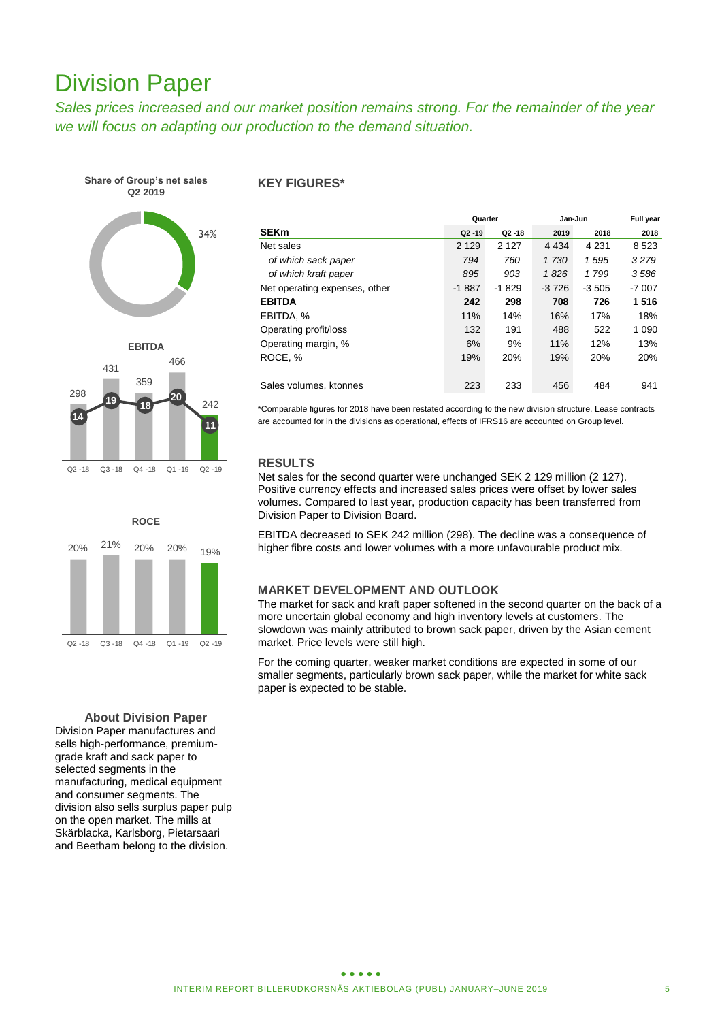# Division Paper

*Sales prices increased and our market position remains strong. For the remainder of the year we will focus on adapting our production to the demand situation.* 

**Share of Group's net sales Q2 2019**





**ROCE** 20% 21% 20% 20% 19% Q2 -18 Q3 -18 Q4 -18 Q1 -19 Q2 -19

**About Division Paper**

Division Paper manufactures and sells high-performance, premiumgrade kraft and sack paper to selected segments in the manufacturing, medical equipment and consumer segments. The division also sells surplus paper pulp on the open market. The mills at Skärblacka, Karlsborg, Pietarsaari and Beetham belong to the division.

### **KEY FIGURES\***

|                               | Quarter   |           | Jan-Jun | Full year |         |
|-------------------------------|-----------|-----------|---------|-----------|---------|
| <b>SEKm</b>                   | $Q2 - 19$ | $Q2 - 18$ | 2019    | 2018      | 2018    |
| Net sales                     | 2 1 2 9   | 2 1 2 7   | 4 4 3 4 | 4 2 3 1   | 8 5 2 3 |
| of which sack paper           | 794       | 760       | 1 730   | 1595      | 3279    |
| of which kraft paper          | 895       | 903       | 1826    | 1 799     | 3586    |
| Net operating expenses, other | $-1887$   | $-1829$   | $-3726$ | $-3505$   | $-7007$ |
| <b>EBITDA</b>                 | 242       | 298       | 708     | 726       | 1516    |
| EBITDA, %                     | 11%       | 14%       | 16%     | 17%       | 18%     |
| Operating profit/loss         | 132       | 191       | 488     | 522       | 1 0 9 0 |
| Operating margin, %           | 6%        | 9%        | 11%     | 12%       | 13%     |
| ROCE, %                       | 19%       | 20%       | 19%     | 20%       | 20%     |
|                               |           |           |         |           |         |
| Sales volumes, ktonnes        | 223       | 233       | 456     | 484       | 941     |

\*Comparable figures for 2018 have been restated according to the new division structure. Lease contracts are accounted for in the divisions as operational, effects of IFRS16 are accounted on Group level.

# **RESULTS**

Net sales for the second quarter were unchanged SEK 2 129 million (2 127). Positive currency effects and increased sales prices were offset by lower sales volumes. Compared to last year, production capacity has been transferred from Division Paper to Division Board.

EBITDA decreased to SEK 242 million (298). The decline was a consequence of higher fibre costs and lower volumes with a more unfavourable product mix.

## **MARKET DEVELOPMENT AND OUTLOOK**

The market for sack and kraft paper softened in the second quarter on the back of a more uncertain global economy and high inventory levels at customers. The slowdown was mainly attributed to brown sack paper, driven by the Asian cement market. Price levels were still high.

For the coming quarter, weaker market conditions are expected in some of our smaller segments, particularly brown sack paper, while the market for white sack paper is expected to be stable.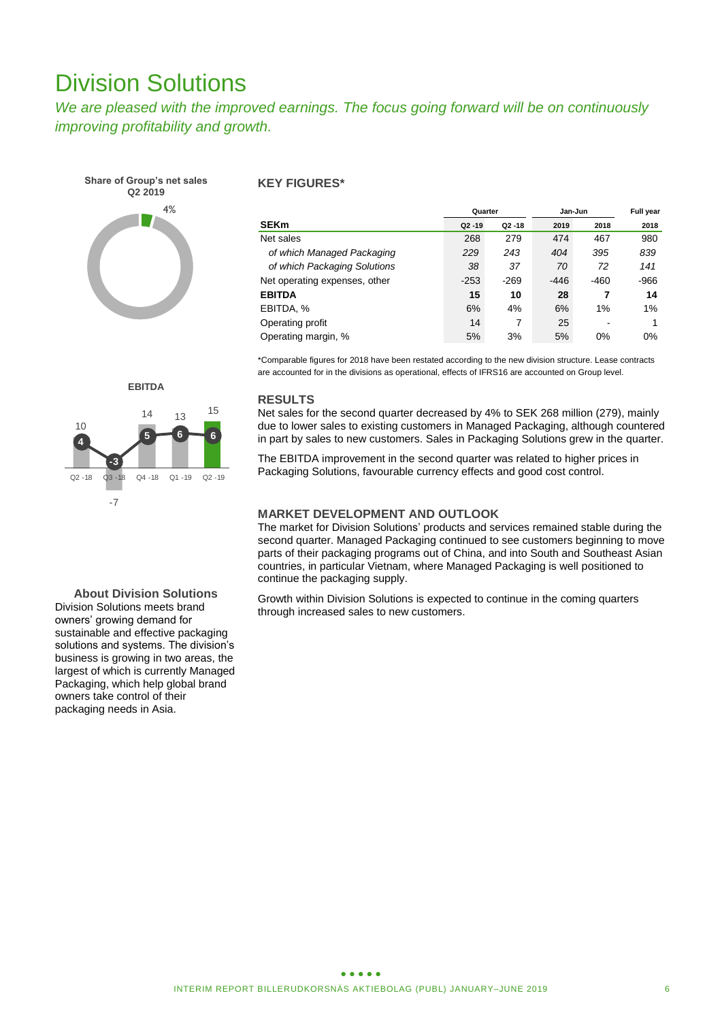# Division Solutions

*We are pleased with the improved earnings. The focus going forward will be on continuously improving profitability and growth.*

**Share of Group's net sales Q2 2019** 4%

### **KEY FIGURES\***

|                               | Quarter   |           | Jan-Jun | <b>Full year</b> |        |
|-------------------------------|-----------|-----------|---------|------------------|--------|
| <b>SEKm</b>                   | $Q2 - 19$ | $Q2 - 18$ | 2019    | 2018             | 2018   |
| Net sales                     | 268       | 279       | 474     | 467              | 980    |
| of which Managed Packaging    | 229       | 243       | 404     | 395              | 839    |
| of which Packaging Solutions  | 38        | 37        | 70      | 72               | 141    |
| Net operating expenses, other | $-253$    | $-269$    | $-446$  | $-460$           | $-966$ |
| <b>EBITDA</b>                 | 15        | 10        | 28      | 7                | 14     |
| EBITDA, %                     | 6%        | 4%        | 6%      | 1%               | 1%     |
| Operating profit              | 14        | 7         | 25      |                  |        |
| Operating margin, %           | 5%        | 3%        | 5%      | 0%               | 0%     |

\*Comparable figures for 2018 have been restated according to the new division structure. Lease contracts are accounted for in the divisions as operational, effects of IFRS16 are accounted on Group level.

### **RESULTS**

Net sales for the second quarter decreased by 4% to SEK 268 million (279), mainly due to lower sales to existing customers in Managed Packaging, although countered in part by sales to new customers. Sales in Packaging Solutions grew in the quarter.

The EBITDA improvement in the second quarter was related to higher prices in Packaging Solutions, favourable currency effects and good cost control.

# **MARKET DEVELOPMENT AND OUTLOOK**

The market for Division Solutions' products and services remained stable during the second quarter. Managed Packaging continued to see customers beginning to move parts of their packaging programs out of China, and into South and Southeast Asian countries, in particular Vietnam, where Managed Packaging is well positioned to continue the packaging supply.

Growth within Division Solutions is expected to continue in the coming quarters through increased sales to new customers.



**About Division Solutions** Division Solutions meets brand owners' growing demand for sustainable and effective packaging solutions and systems. The division's business is growing in two areas, the largest of which is currently Managed Packaging, which help global brand owners take control of their packaging needs in Asia.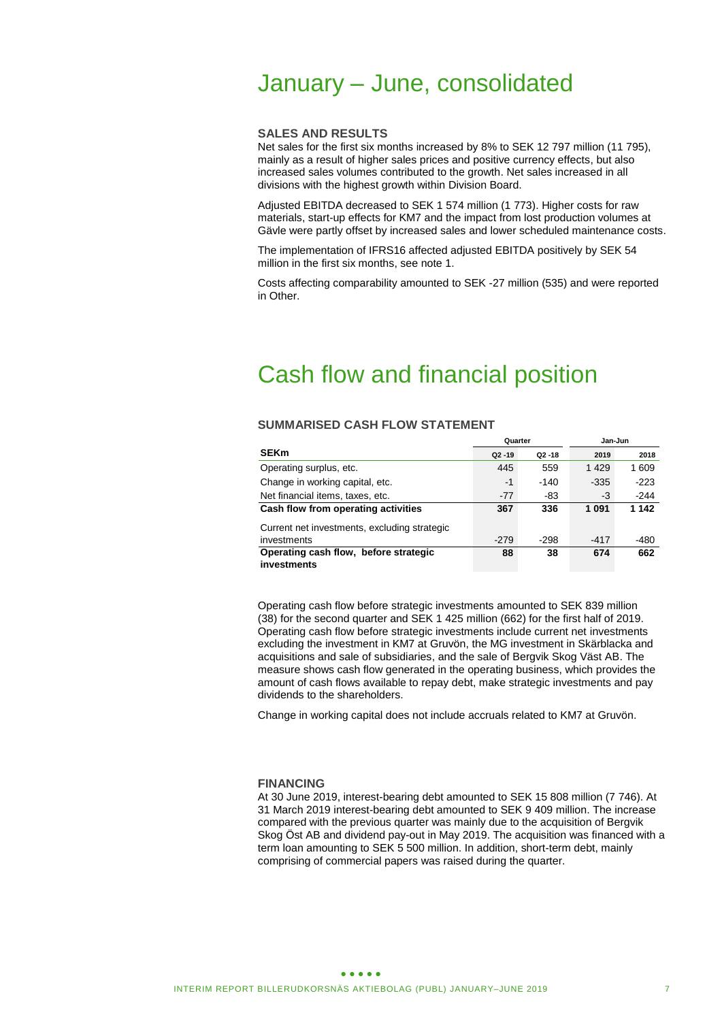# January – June, consolidated

#### **SALES AND RESULTS**

Net sales for the first six months increased by 8% to SEK 12 797 million (11 795), mainly as a result of higher sales prices and positive currency effects, but also increased sales volumes contributed to the growth. Net sales increased in all divisions with the highest growth within Division Board.

Adjusted EBITDA decreased to SEK 1 574 million (1 773). Higher costs for raw materials, start-up effects for KM7 and the impact from lost production volumes at Gävle were partly offset by increased sales and lower scheduled maintenance costs.

The implementation of IFRS16 affected adjusted EBITDA positively by SEK 54 million in the first six months, see note 1.

Costs affecting comparability amounted to SEK -27 million (535) and were reported in Other.

# Cash flow and financial position

### **SUMMARISED CASH FLOW STATEMENT**

|                                              | Quarter   |           | Jan-Jun |        |  |
|----------------------------------------------|-----------|-----------|---------|--------|--|
| <b>SEKm</b>                                  | $Q2 - 19$ | $Q2 - 18$ | 2019    | 2018   |  |
| Operating surplus, etc.                      | 445       | 559       | 1429    | 1609   |  |
| Change in working capital, etc.              | -1        | $-140$    | $-335$  | $-223$ |  |
| Net financial items, taxes, etc.             | $-77$     | -83       | -3      | -244   |  |
| Cash flow from operating activities          | 367       | 336       | 1091    | 1 142  |  |
| Current net investments, excluding strategic |           |           |         |        |  |
| investments                                  | $-279$    | -298      | $-417$  | -480   |  |
| Operating cash flow, before strategic        | 88        | 38        | 674     | 662    |  |
| investments                                  |           |           |         |        |  |

Operating cash flow before strategic investments amounted to SEK 839 million (38) for the second quarter and SEK 1 425 million (662) for the first half of 2019. Operating cash flow before strategic investments include current net investments excluding the investment in KM7 at Gruvön, the MG investment in Skärblacka and acquisitions and sale of subsidiaries, and the sale of Bergvik Skog Väst AB. The measure shows cash flow generated in the operating business, which provides the amount of cash flows available to repay debt, make strategic investments and pay dividends to the shareholders.

Change in working capital does not include accruals related to KM7 at Gruvön.

#### **FINANCING**

At 30 June 2019, interest-bearing debt amounted to SEK 15 808 million (7 746). At 31 March 2019 interest-bearing debt amounted to SEK 9 409 million. The increase compared with the previous quarter was mainly due to the acquisition of Bergvik Skog Öst AB and dividend pay-out in May 2019. The acquisition was financed with a term loan amounting to SEK 5 500 million. In addition, short-term debt, mainly comprising of commercial papers was raised during the quarter.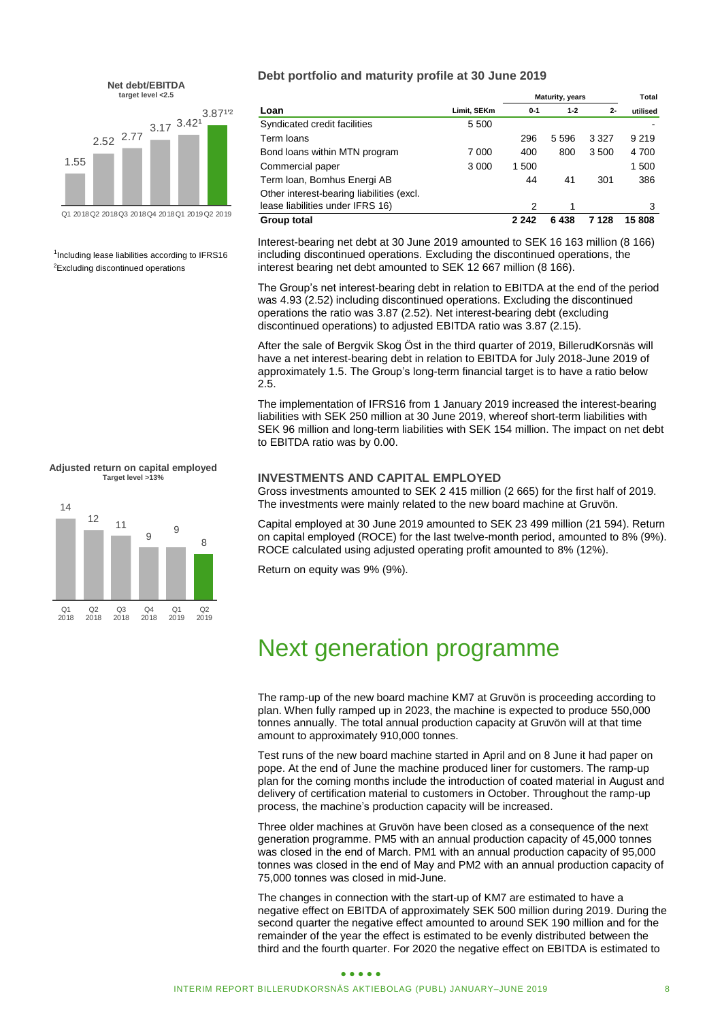

<sup>1</sup>Including lease liabilities according to IFRS16 <sup>2</sup>Excluding discontinued operations

**Adjusted return on capital employed Target level >13%**



### **Debt portfolio and maturity profile at 30 June 2019**

|                                           | <b>Maturity, years</b> | Total   |          |         |          |
|-------------------------------------------|------------------------|---------|----------|---------|----------|
| Loan                                      | Limit, SEKm            | $0 - 1$ | $1 - 2$  | $2 -$   | utilised |
| Syndicated credit facilities              | 5 500                  |         |          |         |          |
| Term loans                                |                        | 296     | 5 5 9 6  | 3 3 2 7 | 9 2 1 9  |
| Bond loans within MTN program             | 7 000                  | 400     | 800      | 3500    | 4700     |
| Commercial paper                          | 3 0 0 0                | 1 500   |          |         | 1500     |
| Term Ioan, Bomhus Energi AB               |                        | 44      | 41       | 301     | 386      |
| Other interest-bearing liabilities (excl. |                        |         |          |         |          |
| lease liabilities under IFRS 16)          |                        | 2       | 1        |         | 3        |
| Group total                               |                        | 2 2 4 2 | 438<br>6 | 7 128   | 15808    |

Interest-bearing net debt at 30 June 2019 amounted to SEK 16 163 million (8 166) including discontinued operations. Excluding the discontinued operations, the interest bearing net debt amounted to SEK 12 667 million (8 166).

The Group's net interest-bearing debt in relation to EBITDA at the end of the period was 4.93 (2.52) including discontinued operations. Excluding the discontinued operations the ratio was 3.87 (2.52). Net interest-bearing debt (excluding discontinued operations) to adjusted EBITDA ratio was 3.87 (2.15).

After the sale of Bergvik Skog Öst in the third quarter of 2019, BillerudKorsnäs will have a net interest-bearing debt in relation to EBITDA for July 2018-June 2019 of approximately 1.5. The Group's long-term financial target is to have a ratio below 2.5.

The implementation of IFRS16 from 1 January 2019 increased the interest-bearing liabilities with SEK 250 million at 30 June 2019, whereof short-term liabilities with SEK 96 million and long-term liabilities with SEK 154 million. The impact on net debt to EBITDA ratio was by 0.00.

### **INVESTMENTS AND CAPITAL EMPLOYED**

Gross investments amounted to SEK 2 415 million (2 665) for the first half of 2019. The investments were mainly related to the new board machine at Gruvön.

Capital employed at 30 June 2019 amounted to SEK 23 499 million (21 594). Return on capital employed (ROCE) for the last twelve-month period, amounted to 8% (9%). ROCE calculated using adjusted operating profit amounted to 8% (12%).

Return on equity was 9% (9%).

# Next generation programme

The ramp-up of the new board machine KM7 at Gruvön is proceeding according to plan. When fully ramped up in 2023, the machine is expected to produce 550,000 tonnes annually. The total annual production capacity at Gruvön will at that time amount to approximately 910,000 tonnes.

Test runs of the new board machine started in April and on 8 June it had paper on pope. At the end of June the machine produced liner for customers. The ramp-up plan for the coming months include the introduction of coated material in August and delivery of certification material to customers in October. Throughout the ramp-up process, the machine's production capacity will be increased.

Three older machines at Gruvön have been closed as a consequence of the next generation programme. PM5 with an annual production capacity of 45,000 tonnes was closed in the end of March. PM1 with an annual production capacity of 95,000 tonnes was closed in the end of May and PM2 with an annual production capacity of 75,000 tonnes was closed in mid-June.

The changes in connection with the start-up of KM7 are estimated to have a negative effect on EBITDA of approximately SEK 500 million during 2019. During the second quarter the negative effect amounted to around SEK 190 million and for the remainder of the year the effect is estimated to be evenly distributed between the third and the fourth quarter. For 2020 the negative effect on EBITDA is estimated to

#### $\bullet\bullet\bullet\bullet\bullet$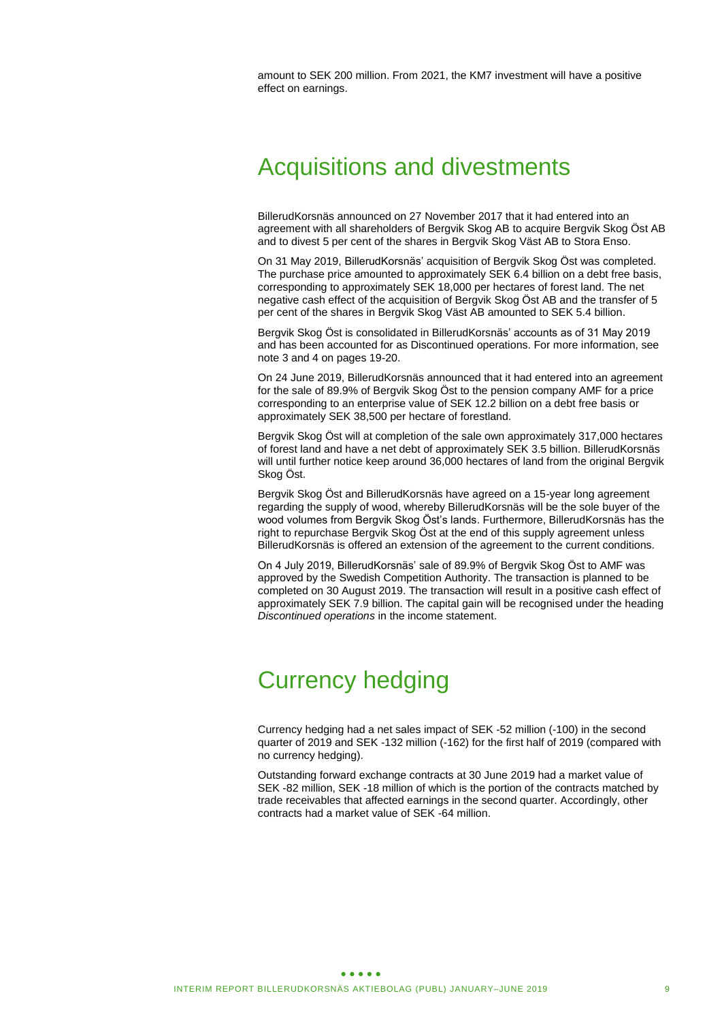amount to SEK 200 million. From 2021, the KM7 investment will have a positive effect on earnings.

# Acquisitions and divestments

BillerudKorsnäs announced on 27 November 2017 that it had entered into an agreement with all shareholders of Bergvik Skog AB to acquire Bergvik Skog Öst AB and to divest 5 per cent of the shares in Bergvik Skog Väst AB to Stora Enso.

On 31 May 2019, BillerudKorsnäs' acquisition of Bergvik Skog Öst was completed. The purchase price amounted to approximately SEK 6.4 billion on a debt free basis, corresponding to approximately SEK 18,000 per hectares of forest land. The net negative cash effect of the acquisition of Bergvik Skog Öst AB and the transfer of 5 per cent of the shares in Bergvik Skog Väst AB amounted to SEK 5.4 billion.

Bergvik Skog Öst is consolidated in BillerudKorsnäs' accounts as of 31 May 2019 and has been accounted for as Discontinued operations. For more information, see note 3 and 4 on pages 19-20.

On 24 June 2019, BillerudKorsnäs announced that it had entered into an agreement for the sale of 89.9% of Bergvik Skog Öst to the pension company AMF for a price corresponding to an enterprise value of SEK 12.2 billion on a debt free basis or approximately SEK 38,500 per hectare of forestland.

Bergvik Skog Öst will at completion of the sale own approximately 317,000 hectares of forest land and have a net debt of approximately SEK 3.5 billion. BillerudKorsnäs will until further notice keep around 36,000 hectares of land from the original Bergvik Skog Öst.

Bergvik Skog Öst and BillerudKorsnäs have agreed on a 15-year long agreement regarding the supply of wood, whereby BillerudKorsnäs will be the sole buyer of the wood volumes from Bergvik Skog Öst's lands. Furthermore, BillerudKorsnäs has the right to repurchase Bergvik Skog Öst at the end of this supply agreement unless BillerudKorsnäs is offered an extension of the agreement to the current conditions.

On 4 July 2019, BillerudKorsnäs' sale of 89.9% of Bergvik Skog Öst to AMF was approved by the Swedish Competition Authority. The transaction is planned to be completed on 30 August 2019. The transaction will result in a positive cash effect of approximately SEK 7.9 billion. The capital gain will be recognised under the heading *Discontinued operations* in the income statement.

# Currency hedging

Currency hedging had a net sales impact of SEK -52 million (-100) in the second quarter of 2019 and SEK -132 million (-162) for the first half of 2019 (compared with no currency hedging).

Outstanding forward exchange contracts at 30 June 2019 had a market value of SEK -82 million, SEK -18 million of which is the portion of the contracts matched by trade receivables that affected earnings in the second quarter. Accordingly, other contracts had a market value of SEK -64 million.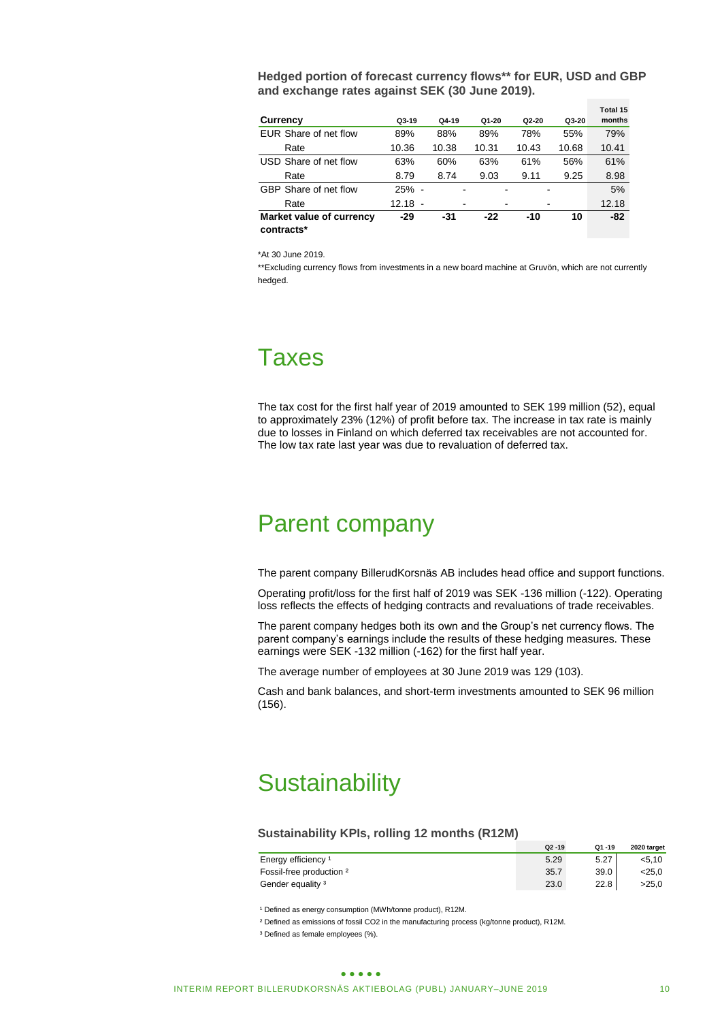| Hedged portion of forecast currency flows** for EUR, USD and GBP |  |
|------------------------------------------------------------------|--|
| and exchange rates against SEK (30 June 2019).                   |  |

|                          |           |         |         |       |       | Total 15 |
|--------------------------|-----------|---------|---------|-------|-------|----------|
| Currency                 | $Q3-19$   | $Q4-19$ | $Q1-20$ | Q2-20 | Q3-20 | months   |
| EUR Share of net flow    | 89%       | 88%     | 89%     | 78%   | 55%   | 79%      |
| Rate                     | 10.36     | 10.38   | 10.31   | 10.43 | 10.68 | 10.41    |
| USD Share of net flow    | 63%       | 60%     | 63%     | 61%   | 56%   | 61%      |
| Rate                     | 8.79      | 8.74    | 9.03    | 9.11  | 9.25  | 8.98     |
| GBP Share of net flow    | 25% -     |         |         |       |       | 5%       |
| Rate                     | $12.18 -$ | -       |         |       |       | 12.18    |
| Market value of currency | $-29$     | -31     | $-22$   | -10   | 10    | $-82$    |
| contracts*               |           |         |         |       |       |          |

\*At 30 June 2019.

\*\*Excluding currency flows from investments in a new board machine at Gruvön, which are not currently hedged.

# Taxes

The tax cost for the first half year of 2019 amounted to SEK 199 million (52), equal to approximately 23% (12%) of profit before tax. The increase in tax rate is mainly due to losses in Finland on which deferred tax receivables are not accounted for. The low tax rate last year was due to revaluation of deferred tax.

# Parent company

The parent company BillerudKorsnäs AB includes head office and support functions.

Operating profit/loss for the first half of 2019 was SEK -136 million (-122). Operating loss reflects the effects of hedging contracts and revaluations of trade receivables.

The parent company hedges both its own and the Group's net currency flows. The parent company's earnings include the results of these hedging measures. These earnings were SEK -132 million (-162) for the first half year.

The average number of employees at 30 June 2019 was 129 (103).

Cash and bank balances, and short-term investments amounted to SEK 96 million (156).

# **Sustainability**

#### **Sustainability KPIs, rolling 12 months (R12M)**

|                                | $Q2 - 19$ | $Q1 - 19$ | 2020 target |
|--------------------------------|-----------|-----------|-------------|
| Energy efficiency <sup>1</sup> | 5.29      | 5.27      | < 5.10      |
| Fossil-free production 2       | 35.7      | 39.0      | <25.0       |
| Gender equality <sup>3</sup>   | 23.0      | 22.8      | >25.0       |

<sup>1</sup> Defined as energy consumption (MWh/tonne product), R12M.

² Defined as emissions of fossil CO2 in the manufacturing process (kg/tonne product), R12M.

<sup>3</sup> Defined as female employees (%).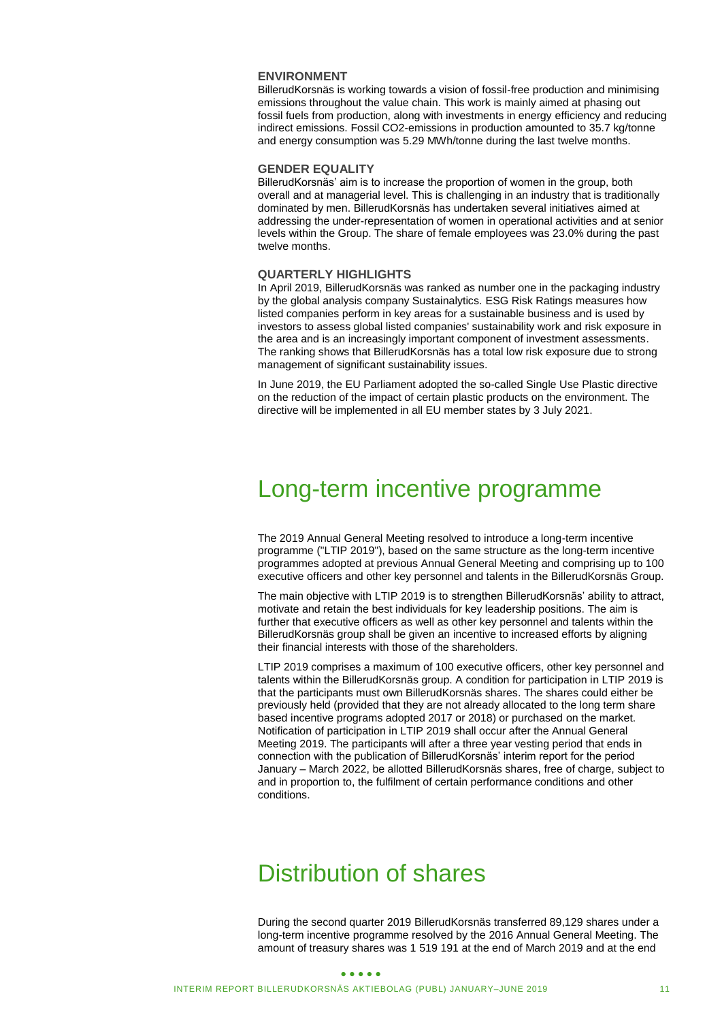### **ENVIRONMENT**

BillerudKorsnäs is working towards a vision of fossil-free production and minimising emissions throughout the value chain. This work is mainly aimed at phasing out fossil fuels from production, along with investments in energy efficiency and reducing indirect emissions. Fossil CO2-emissions in production amounted to 35.7 kg/tonne and energy consumption was 5.29 MWh/tonne during the last twelve months.

#### **GENDER EQUALITY**

BillerudKorsnäs' aim is to increase the proportion of women in the group, both overall and at managerial level. This is challenging in an industry that is traditionally dominated by men. BillerudKorsnäs has undertaken several initiatives aimed at addressing the under-representation of women in operational activities and at senior levels within the Group. The share of female employees was 23.0% during the past twelve months.

#### **QUARTERLY HIGHLIGHTS**

In April 2019, BillerudKorsnäs was ranked as number one in the packaging industry by the global analysis company Sustainalytics. ESG Risk Ratings measures how listed companies perform in key areas for a sustainable business and is used by investors to assess global listed companies' sustainability work and risk exposure in the area and is an increasingly important component of investment assessments. The ranking shows that BillerudKorsnäs has a total low risk exposure due to strong management of significant sustainability issues.

In June 2019, the EU Parliament adopted the so-called Single Use Plastic directive on the reduction of the impact of certain plastic products on the environment. The directive will be implemented in all EU member states by 3 July 2021.

# Long-term incentive programme

The 2019 Annual General Meeting resolved to introduce a long-term incentive programme ("LTIP 2019"), based on the same structure as the long-term incentive programmes adopted at previous Annual General Meeting and comprising up to 100 executive officers and other key personnel and talents in the BillerudKorsnäs Group.

The main objective with LTIP 2019 is to strengthen BillerudKorsnäs' ability to attract, motivate and retain the best individuals for key leadership positions. The aim is further that executive officers as well as other key personnel and talents within the BillerudKorsnäs group shall be given an incentive to increased efforts by aligning their financial interests with those of the shareholders.

LTIP 2019 comprises a maximum of 100 executive officers, other key personnel and talents within the BillerudKorsnäs group. A condition for participation in LTIP 2019 is that the participants must own BillerudKorsnäs shares. The shares could either be previously held (provided that they are not already allocated to the long term share based incentive programs adopted 2017 or 2018) or purchased on the market. Notification of participation in LTIP 2019 shall occur after the Annual General Meeting 2019. The participants will after a three year vesting period that ends in connection with the publication of BillerudKorsnäs' interim report for the period January – March 2022, be allotted BillerudKorsnäs shares, free of charge, subject to and in proportion to, the fulfilment of certain performance conditions and other conditions.

# Distribution of shares

During the second quarter 2019 BillerudKorsnäs transferred 89,129 shares under a long-term incentive programme resolved by the 2016 Annual General Meeting. The amount of treasury shares was 1 519 191 at the end of March 2019 and at the end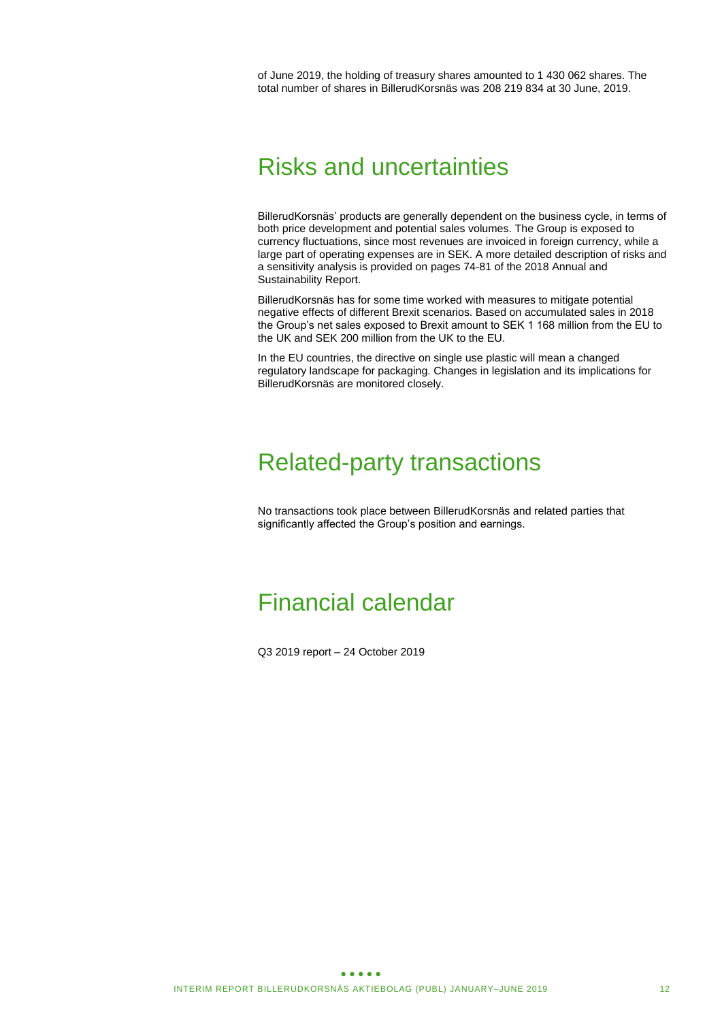of June 2019, the holding of treasury shares amounted to 1 430 062 shares. The total number of shares in BillerudKorsnäs was 208 219 834 at 30 June, 2019.

# Risks and uncertainties

BillerudKorsnäs' products are generally dependent on the business cycle, in terms of both price development and potential sales volumes. The Group is exposed to currency fluctuations, since most revenues are invoiced in foreign currency, while a large part of operating expenses are in SEK. A more detailed description of risks and a sensitivity analysis is provided on pages 74-81 of the 2018 Annual and Sustainability Report.

BillerudKorsnäs has for some time worked with measures to mitigate potential negative effects of different Brexit scenarios. Based on accumulated sales in 2018 the Group's net sales exposed to Brexit amount to SEK 1 168 million from the EU to the UK and SEK 200 million from the UK to the EU.

In the EU countries, the directive on single use plastic will mean a changed regulatory landscape for packaging. Changes in legislation and its implications for BillerudKorsnäs are monitored closely.

# Related-party transactions

No transactions took place between BillerudKorsnäs and related parties that significantly affected the Group's position and earnings.

# Financial calendar

Q3 2019 report – 24 October 2019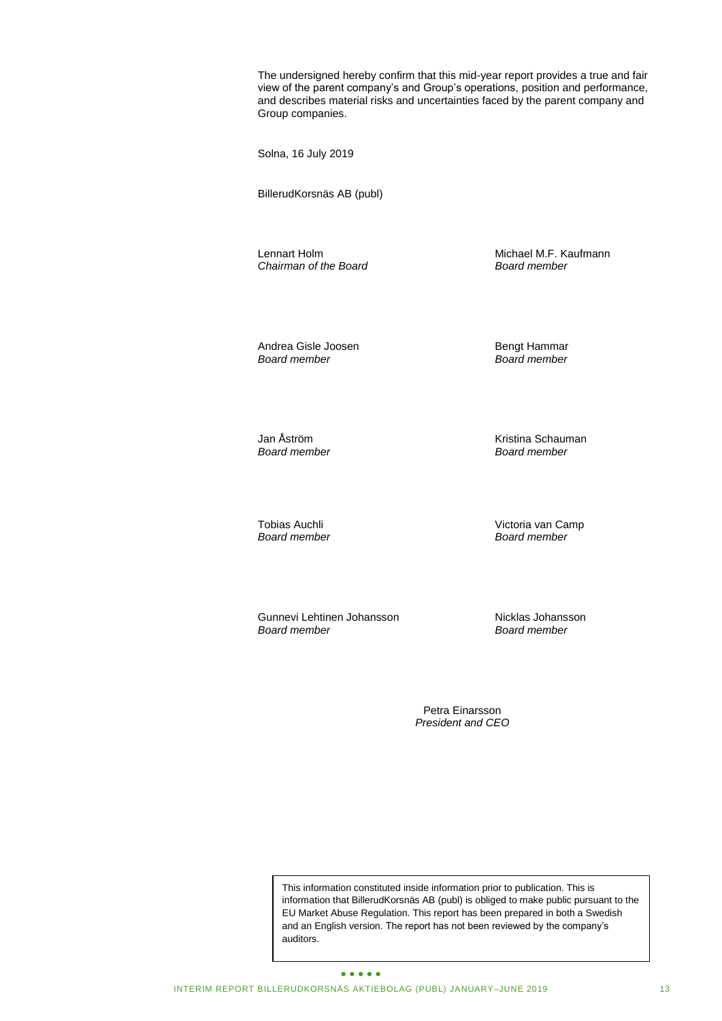The undersigned hereby confirm that this mid-year report provides a true and fair view of the parent company's and Group's operations, position and performance, and describes material risks and uncertainties faced by the parent company and Group companies.

Solna, 16 July 2019

BillerudKorsnäs AB (publ)

*Chairman of the Board Board member*

Lennart Holm Michael M.F. Kaufmann<br>
Chairman of the Board Chairmann Chairmann

Andrea Gisle Joosen and Bengt Hammar<br>Board member Board member

*Board member Board member*

Jan Åström Kristina Schauman

*Board member Board member*

*Board member Board member*

Tobias Auchli *Dobias* Auchli Victoria van Camp<br>Board member *Board member* 

Gunnevi Lehtinen Johansson<br>Board member Nicklas Johansson<br>Board member

*Board member Board member* 

Petra Einarsson *President and CEO*

This information constituted inside information prior to publication. This is information that BillerudKorsnäs AB (publ) is obliged to make public pursuant to the EU Market Abuse Regulation. This report has been prepared in both a Swedish and an English version. The report has not been reviewed by the company's auditors.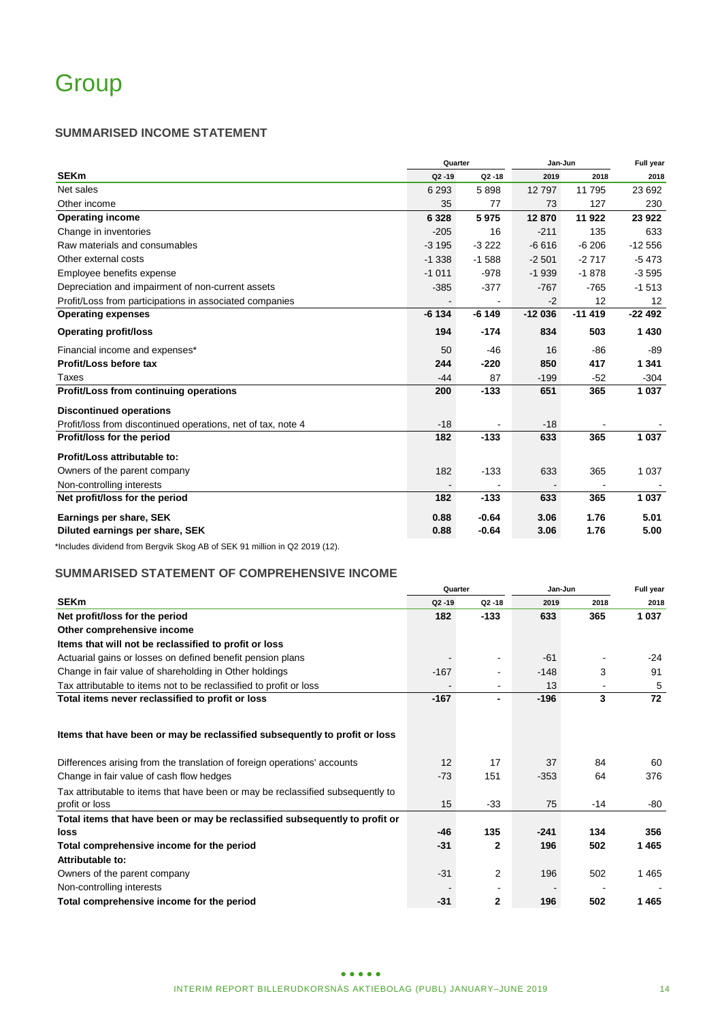# **SUMMARISED INCOME STATEMENT**

|                                                              |           | Quarter                  |          |          | Full year |  |
|--------------------------------------------------------------|-----------|--------------------------|----------|----------|-----------|--|
| <b>SEKm</b>                                                  | $Q2 - 19$ | $Q2 - 18$                | 2019     | 2018     | 2018      |  |
| Net sales                                                    | 6 2 9 3   | 5898                     | 12797    | 11795    | 23 692    |  |
| Other income                                                 | 35        | 77                       | 73       | 127      | 230       |  |
| <b>Operating income</b>                                      | 6 3 2 8   | 5975                     | 12870    | 11 922   | 23 922    |  |
| Change in inventories                                        | $-205$    | 16                       | $-211$   | 135      | 633       |  |
| Raw materials and consumables                                | $-3195$   | $-3222$                  | $-6616$  | $-6206$  | $-12556$  |  |
| Other external costs                                         | $-1338$   | $-1588$                  | $-2501$  | $-2717$  | $-5473$   |  |
| Employee benefits expense                                    | $-1011$   | $-978$                   | $-1939$  | $-1878$  | $-3595$   |  |
| Depreciation and impairment of non-current assets            | $-385$    | $-377$                   | $-767$   | $-765$   | $-1513$   |  |
| Profit/Loss from participations in associated companies      |           | $\overline{\phantom{a}}$ | $-2$     | 12       | 12        |  |
| <b>Operating expenses</b>                                    | $-6134$   | $-6149$                  | $-12036$ | $-11419$ | $-22492$  |  |
| <b>Operating profit/loss</b>                                 | 194       | $-174$                   | 834      | 503      | 1 4 3 0   |  |
| Financial income and expenses*                               | 50        | $-46$                    | 16       | $-86$    | -89       |  |
| Profit/Loss before tax                                       | 244       | $-220$                   | 850      | 417      | 1 3 4 1   |  |
| Taxes                                                        | $-44$     | 87                       | $-199$   | $-52$    | $-304$    |  |
| Profit/Loss from continuing operations                       | 200       | $-133$                   | 651      | 365      | 1 0 3 7   |  |
| <b>Discontinued operations</b>                               |           |                          |          |          |           |  |
| Profit/loss from discontinued operations, net of tax, note 4 | $-18$     |                          | $-18$    |          |           |  |
| Profit/loss for the period                                   | 182       | $-133$                   | 633      | 365      | 1 0 3 7   |  |
| Profit/Loss attributable to:                                 |           |                          |          |          |           |  |
| Owners of the parent company                                 | 182       | $-133$                   | 633      | 365      | 1 0 3 7   |  |
| Non-controlling interests                                    |           |                          |          |          |           |  |
| Net profit/loss for the period                               | 182       | $-133$                   | 633      | 365      | 1 0 3 7   |  |
| Earnings per share, SEK                                      | 0.88      | $-0.64$                  | 3.06     | 1.76     | 5.01      |  |
| Diluted earnings per share, SEK                              | 0.88      | $-0.64$                  | 3.06     | 1.76     | 5.00      |  |

\*Includes dividend from Bergvik Skog AB of SEK 91 million in Q2 2019 (12).

# **SUMMARISED STATEMENT OF COMPREHENSIVE INCOME**

|                                                                                                   |           | Quarter        | Jan-Jun | Full year |         |
|---------------------------------------------------------------------------------------------------|-----------|----------------|---------|-----------|---------|
| <b>SEKm</b>                                                                                       | $Q2 - 19$ | $Q2 - 18$      | 2019    | 2018      | 2018    |
| Net profit/loss for the period                                                                    | 182       | $-133$         | 633     | 365       | 1 0 3 7 |
| Other comprehensive income                                                                        |           |                |         |           |         |
| Items that will not be reclassified to profit or loss                                             |           |                |         |           |         |
| Actuarial gains or losses on defined benefit pension plans                                        |           |                | $-61$   |           | $-24$   |
| Change in fair value of shareholding in Other holdings                                            | $-167$    |                | $-148$  | 3         | 91      |
| Tax attributable to items not to be reclassified to profit or loss                                |           | ٠              | 13      |           | 5       |
| Total items never reclassified to profit or loss                                                  | $-167$    | $\blacksquare$ | $-196$  | 3         | 72      |
| Items that have been or may be reclassified subsequently to profit or loss                        |           |                |         |           |         |
| Differences arising from the translation of foreign operations' accounts                          | 12        | 17             | 37      | 84        | 60      |
| Change in fair value of cash flow hedges                                                          | $-73$     | 151            | $-353$  | 64        | 376     |
| Tax attributable to items that have been or may be reclassified subsequently to<br>profit or loss | 15        | $-33$          | 75      | $-14$     | -80     |
| Total items that have been or may be reclassified subsequently to profit or                       |           |                |         |           |         |
| loss                                                                                              | -46       | 135            | $-241$  | 134       | 356     |
| Total comprehensive income for the period                                                         | $-31$     | 2              | 196     | 502       | 1465    |
| Attributable to:                                                                                  |           |                |         |           |         |
| Owners of the parent company                                                                      | $-31$     | 2              | 196     | 502       | 1465    |
| Non-controlling interests                                                                         |           |                |         |           |         |
| Total comprehensive income for the period                                                         | $-31$     | 2              | 196     | 502       | 1465    |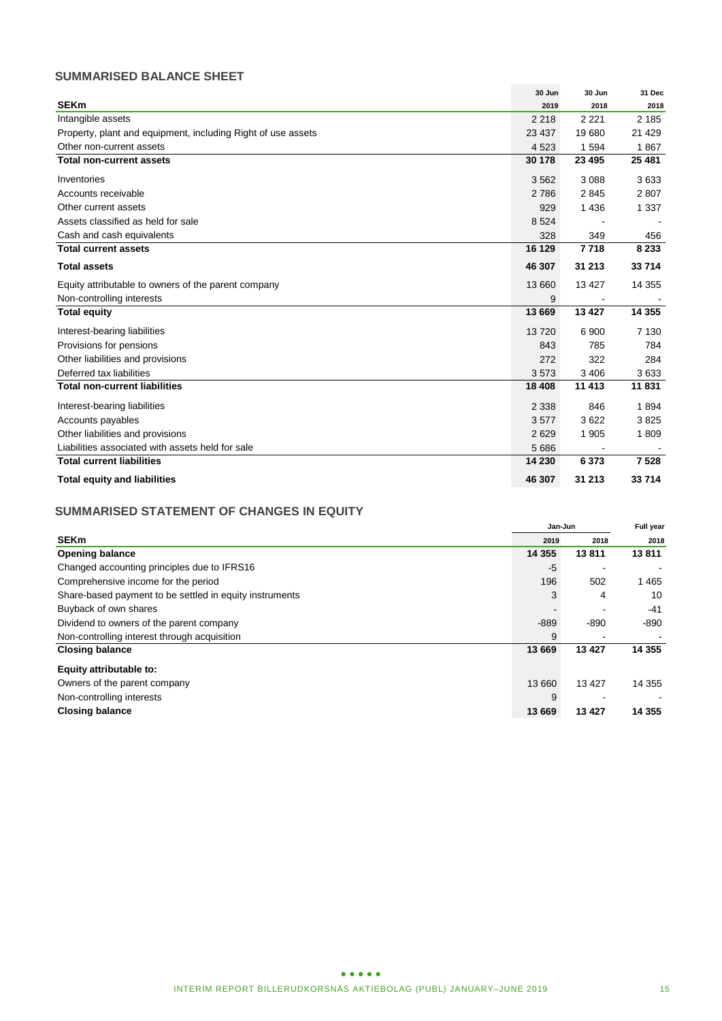# **SUMMARISED BALANCE SHEET**

|                                                              | 30 Jun  | 30 Jun  | 31 Dec  |
|--------------------------------------------------------------|---------|---------|---------|
| <b>SEKm</b>                                                  | 2019    | 2018    | 2018    |
| Intangible assets                                            | 2 2 1 8 | 2 2 2 1 | 2 1 8 5 |
| Property, plant and equipment, including Right of use assets | 23 437  | 19680   | 21 4 29 |
| Other non-current assets                                     | 4 5 23  | 1594    | 1867    |
| <b>Total non-current assets</b>                              | 30 178  | 23 4 95 | 25 481  |
| Inventories                                                  | 3562    | 3088    | 3633    |
| Accounts receivable                                          | 2786    | 2845    | 2807    |
| Other current assets                                         | 929     | 1 4 3 6 | 1 3 3 7 |
| Assets classified as held for sale                           | 8 5 24  |         |         |
| Cash and cash equivalents                                    | 328     | 349     | 456     |
| <b>Total current assets</b>                                  | 16 129  | 7718    | 8 2 3 3 |
| <b>Total assets</b>                                          | 46 307  | 31 213  | 33 714  |
| Equity attributable to owners of the parent company          | 13 660  | 13 4 27 | 14 355  |
| Non-controlling interests                                    | 9       |         |         |
| <b>Total equity</b>                                          | 13 669  | 13 4 27 | 14 3 55 |
| Interest-bearing liabilities                                 | 13720   | 6 900   | 7 1 3 0 |
| Provisions for pensions                                      | 843     | 785     | 784     |
| Other liabilities and provisions                             | 272     | 322     | 284     |
| Deferred tax liabilities                                     | 3573    | 3 4 0 6 | 3633    |
| <b>Total non-current liabilities</b>                         | 18 408  | 11 413  | 11831   |
| Interest-bearing liabilities                                 | 2 3 3 8 | 846     | 1894    |
| Accounts payables                                            | 3577    | 3622    | 3825    |
| Other liabilities and provisions                             | 2629    | 1 9 0 5 | 1809    |
| Liabilities associated with assets held for sale             | 5 6 8 6 |         |         |
| <b>Total current liabilities</b>                             | 14 230  | 6 3 7 3 | 7 5 28  |
| <b>Total equity and liabilities</b>                          | 46 307  | 31 213  | 33 714  |

# **SUMMARISED STATEMENT OF CHANGES IN EQUITY**

|                                                         |          | Jan-Jun |          |
|---------------------------------------------------------|----------|---------|----------|
| <b>SEKm</b>                                             | 2019     | 2018    | 2018     |
| <b>Opening balance</b>                                  | 14 3 5 5 | 13811   | 13811    |
| Changed accounting principles due to IFRS16             | -5       |         |          |
| Comprehensive income for the period                     | 196      | 502     | 1465     |
| Share-based payment to be settled in equity instruments | 3        | 4       | 10       |
| Buyback of own shares                                   |          |         | $-41$    |
| Dividend to owners of the parent company                | $-889$   | $-890$  | $-890$   |
| Non-controlling interest through acquisition            | 9        |         |          |
| <b>Closing balance</b>                                  | 13 669   | 13 4 27 | 14 3 55  |
| Equity attributable to:                                 |          |         |          |
| Owners of the parent company                            | 13 660   | 13 4 27 | 14 355   |
| Non-controlling interests                               | 9        |         |          |
| <b>Closing balance</b>                                  | 13 669   | 13 4 27 | 14 3 5 5 |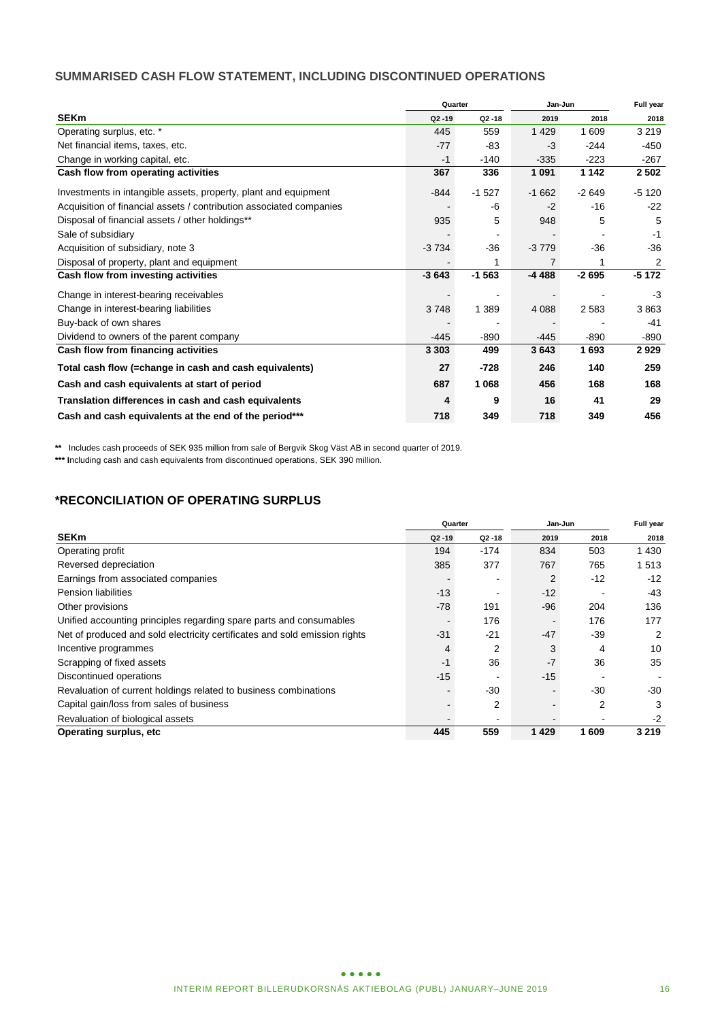# **SUMMARISED CASH FLOW STATEMENT, INCLUDING DISCONTINUED OPERATIONS**

|                                                                     | Quarter   |           | Jan-Jun        | Full year |         |
|---------------------------------------------------------------------|-----------|-----------|----------------|-----------|---------|
| <b>SEKm</b>                                                         | $Q2 - 19$ | $Q2 - 18$ | 2019           | 2018      | 2018    |
| Operating surplus, etc. *                                           | 445       | 559       | 1 4 2 9        | 1 609     | 3 2 1 9 |
| Net financial items, taxes, etc.                                    | $-77$     | -83       | $-3$           | $-244$    | $-450$  |
| Change in working capital, etc.                                     | $-1$      | $-140$    | $-335$         | $-223$    | $-267$  |
| Cash flow from operating activities                                 | 367       | 336       | 1 0 9 1        | 1 1 4 2   | 2 5 0 2 |
| Investments in intangible assets, property, plant and equipment     | $-844$    | $-1527$   | $-1662$        | $-2649$   | $-5120$ |
| Acquisition of financial assets / contribution associated companies |           | -6        | $-2$           | $-16$     | $-22$   |
| Disposal of financial assets / other holdings**                     | 935       | 5         | 948            | 5         | 5       |
| Sale of subsidiary                                                  |           |           |                |           | $-1$    |
| Acquisition of subsidiary, note 3                                   | $-3734$   | $-36$     | $-3779$        | $-36$     | $-36$   |
| Disposal of property, plant and equipment                           |           | 1         | $\overline{7}$ |           | 2       |
| Cash flow from investing activities                                 | $-3643$   | $-1563$   | $-4488$        | $-2695$   | $-5172$ |
| Change in interest-bearing receivables                              |           |           |                |           | $-3$    |
| Change in interest-bearing liabilities                              | 3748      | 1 3 8 9   | 4 0 8 8        | 2583      | 3863    |
| Buy-back of own shares                                              |           |           |                |           | -41     |
| Dividend to owners of the parent company                            | $-445$    | $-890$    | $-445$         | -890      | $-890$  |
| Cash flow from financing activities                                 | 3 3 0 3   | 499       | 3643           | 1693      | 2929    |
| Total cash flow (=change in cash and cash equivalents)              | 27        | $-728$    | 246            | 140       | 259     |
| Cash and cash equivalents at start of period                        | 687       | 1 0 6 8   | 456            | 168       | 168     |
| Translation differences in cash and cash equivalents                | 4         | 9         | 16             | 41        | 29      |
| Cash and cash equivalents at the end of the period***               | 718       | 349       | 718            | 349       | 456     |

**\*\*** Includes cash proceeds of SEK 935 million from sale of Bergvik Skog Väst AB in second quarter of 2019.

**\*\*\* I**ncluding cash and cash equivalents from discontinued operations, SEK 390 million.

# **\*RECONCILIATION OF OPERATING SURPLUS**

|                                                                            |           | Quarter   | Jan-Jun |       | Full year |  |
|----------------------------------------------------------------------------|-----------|-----------|---------|-------|-----------|--|
| <b>SEKm</b>                                                                | $Q2 - 19$ | $Q2 - 18$ | 2019    | 2018  | 2018      |  |
| Operating profit                                                           | 194       | $-174$    | 834     | 503   | 1430      |  |
| Reversed depreciation                                                      | 385       | 377       | 767     | 765   | 1513      |  |
| Earnings from associated companies                                         |           |           | 2       | $-12$ | $-12$     |  |
| <b>Pension liabilities</b>                                                 | $-13$     |           | $-12$   |       | -43       |  |
| Other provisions                                                           | $-78$     | 191       | $-96$   | 204   | 136       |  |
| Unified accounting principles regarding spare parts and consumables        |           | 176       |         | 176   | 177       |  |
| Net of produced and sold electricity certificates and sold emission rights | $-31$     | $-21$     | $-47$   | $-39$ | 2         |  |
| Incentive programmes                                                       | 4         | 2         | 3       | 4     | 10        |  |
| Scrapping of fixed assets                                                  | $-1$      | 36        | $-7$    | 36    | 35        |  |
| Discontinued operations                                                    | $-15$     |           | $-15$   |       |           |  |
| Revaluation of current holdings related to business combinations           |           | $-30$     |         | $-30$ | $-30$     |  |
| Capital gain/loss from sales of business                                   |           | 2         |         | 2     | 3         |  |
| Revaluation of biological assets                                           |           |           |         |       | $-2$      |  |
| Operating surplus, etc.                                                    | 445       | 559       | 1429    | 1609  | 3 2 1 9   |  |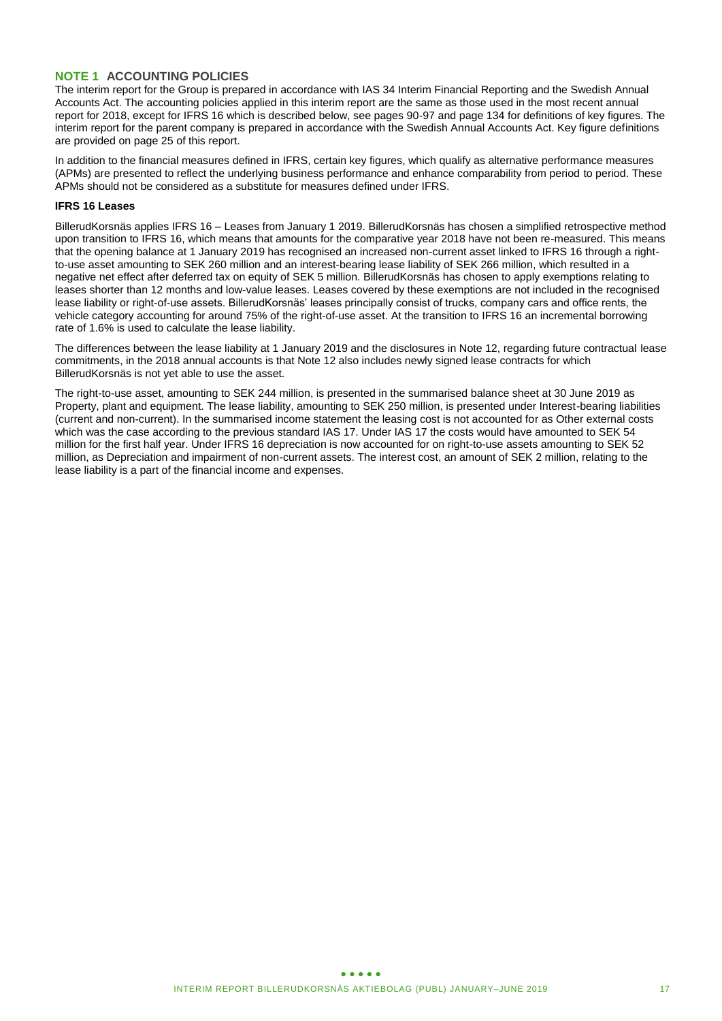## **NOTE 1 ACCOUNTING POLICIES**

The interim report for the Group is prepared in accordance with IAS 34 Interim Financial Reporting and the Swedish Annual Accounts Act. The accounting policies applied in this interim report are the same as those used in the most recent annual report for 2018, except for IFRS 16 which is described below, see pages 90-97 and page 134 for definitions of key figures. The interim report for the parent company is prepared in accordance with the Swedish Annual Accounts Act. Key figure definitions are provided on page 25 of this report.

In addition to the financial measures defined in IFRS, certain key figures, which qualify as alternative performance measures (APMs) are presented to reflect the underlying business performance and enhance comparability from period to period. These APMs should not be considered as a substitute for measures defined under IFRS.

### **IFRS 16 Leases**

BillerudKorsnäs applies IFRS 16 – Leases from January 1 2019. BillerudKorsnäs has chosen a simplified retrospective method upon transition to IFRS 16, which means that amounts for the comparative year 2018 have not been re-measured. This means that the opening balance at 1 January 2019 has recognised an increased non-current asset linked to IFRS 16 through a rightto-use asset amounting to SEK 260 million and an interest-bearing lease liability of SEK 266 million, which resulted in a negative net effect after deferred tax on equity of SEK 5 million. BillerudKorsnäs has chosen to apply exemptions relating to leases shorter than 12 months and low-value leases. Leases covered by these exemptions are not included in the recognised lease liability or right-of-use assets. BillerudKorsnäs' leases principally consist of trucks, company cars and office rents, the vehicle category accounting for around 75% of the right-of-use asset. At the transition to IFRS 16 an incremental borrowing rate of 1.6% is used to calculate the lease liability.

The differences between the lease liability at 1 January 2019 and the disclosures in Note 12, regarding future contractual lease commitments, in the 2018 annual accounts is that Note 12 also includes newly signed lease contracts for which BillerudKorsnäs is not yet able to use the asset.

The right-to-use asset, amounting to SEK 244 million, is presented in the summarised balance sheet at 30 June 2019 as Property, plant and equipment. The lease liability, amounting to SEK 250 million, is presented under Interest-bearing liabilities (current and non-current). In the summarised income statement the leasing cost is not accounted for as Other external costs which was the case according to the previous standard IAS 17. Under IAS 17 the costs would have amounted to SEK 54 million for the first half year. Under IFRS 16 depreciation is now accounted for on right-to-use assets amounting to SEK 52 million, as Depreciation and impairment of non-current assets. The interest cost, an amount of SEK 2 million, relating to the lease liability is a part of the financial income and expenses.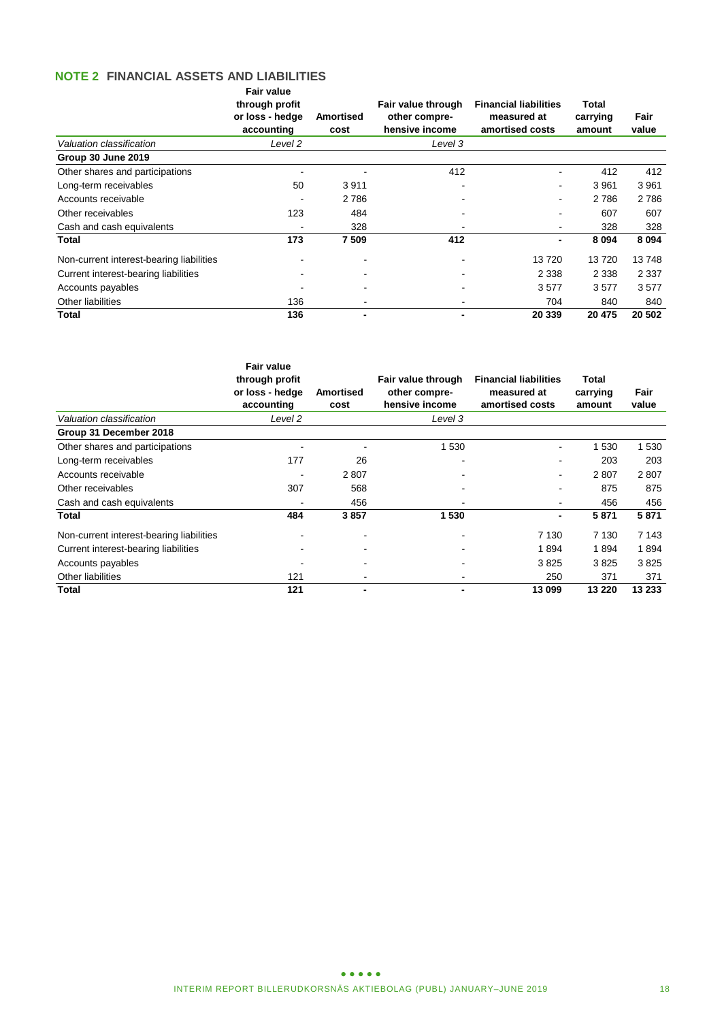# **NOTE 2 FINANCIAL ASSETS AND LIABILITIES**

|                                          | Fair value<br>through profit<br>or loss - hedge<br>accounting | Amortised<br>cost | Fair value through<br>other compre-<br>hensive income | <b>Financial liabilities</b><br>measured at<br>amortised costs | Total<br>carrying<br>amount | Fair<br>value |
|------------------------------------------|---------------------------------------------------------------|-------------------|-------------------------------------------------------|----------------------------------------------------------------|-----------------------------|---------------|
| Valuation classification                 | Level 2                                                       |                   | Level 3                                               |                                                                |                             |               |
| <b>Group 30 June 2019</b>                |                                                               |                   |                                                       |                                                                |                             |               |
| Other shares and participations          |                                                               |                   | 412                                                   |                                                                | 412                         | 412           |
| Long-term receivables                    | 50                                                            | 3911              |                                                       | ٠                                                              | 3961                        | 3 9 6 1       |
| Accounts receivable                      |                                                               | 2 7 8 6           |                                                       | ۰                                                              | 2786                        | 2 7 8 6       |
| Other receivables                        | 123                                                           | 484               |                                                       |                                                                | 607                         | 607           |
| Cash and cash equivalents                |                                                               | 328               |                                                       |                                                                | 328                         | 328           |
| Total                                    | 173                                                           | 7509              | 412                                                   |                                                                | 8 0 9 4                     | 8 0 9 4       |
| Non-current interest-bearing liabilities |                                                               |                   |                                                       | 13720                                                          | 13720                       | 13748         |
| Current interest-bearing liabilities     |                                                               |                   |                                                       | 2 3 3 8                                                        | 2 3 3 8                     | 2 3 3 7       |
| Accounts payables                        |                                                               |                   |                                                       | 3577                                                           | 3577                        | 3577          |
| Other liabilities                        | 136                                                           |                   |                                                       | 704                                                            | 840                         | 840           |
| Total                                    | 136                                                           |                   |                                                       | 20 339                                                         | 20 475                      | 20 502        |

|                                          | <b>Fair value</b><br>through profit<br>or loss - hedge<br>accounting | Amortised<br>cost | Fair value through<br>other compre-<br>hensive income | <b>Financial liabilities</b><br>measured at<br>amortised costs | Total<br>carrying<br>amount | Fair<br>value |
|------------------------------------------|----------------------------------------------------------------------|-------------------|-------------------------------------------------------|----------------------------------------------------------------|-----------------------------|---------------|
| Valuation classification                 | Level 2                                                              |                   | Level 3                                               |                                                                |                             |               |
| Group 31 December 2018                   |                                                                      |                   |                                                       |                                                                |                             |               |
| Other shares and participations          |                                                                      |                   | 1 530                                                 |                                                                | 1 5 3 0                     | 1 5 3 0       |
| Long-term receivables                    | 177                                                                  | 26                |                                                       |                                                                | 203                         | 203           |
| Accounts receivable                      |                                                                      | 2807              |                                                       |                                                                | 2807                        | 2807          |
| Other receivables                        | 307                                                                  | 568               |                                                       |                                                                | 875                         | 875           |
| Cash and cash equivalents                |                                                                      | 456               |                                                       |                                                                | 456                         | 456           |
| Total                                    | 484                                                                  | 3857              | 1530                                                  |                                                                | 5871                        | 5871          |
| Non-current interest-bearing liabilities |                                                                      |                   |                                                       | 7 1 3 0                                                        | 7 1 3 0                     | 7 1 4 3       |
| Current interest-bearing liabilities     |                                                                      |                   |                                                       | 1894                                                           | 1894                        | 1894          |
| Accounts payables                        |                                                                      |                   |                                                       | 3825                                                           | 3825                        | 3825          |
| Other liabilities                        | 121                                                                  |                   |                                                       | 250                                                            | 371                         | 371           |
| Total                                    | 121                                                                  |                   |                                                       | 13 099                                                         | 13 2 20                     | 13 233        |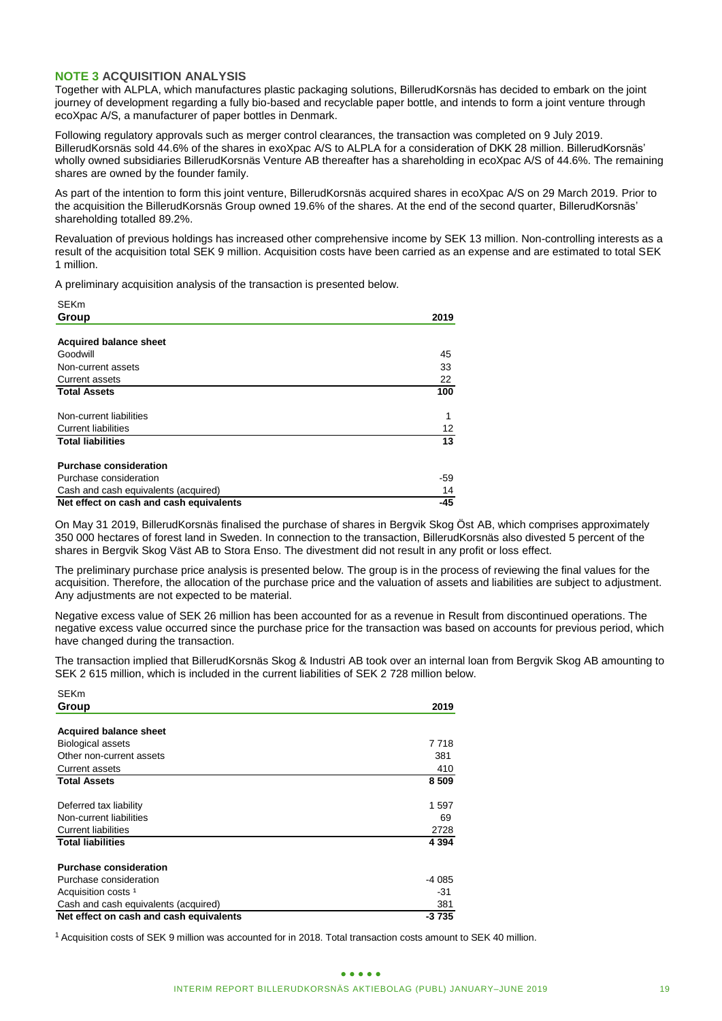## **NOTE 3 ACQUISITION ANALYSIS**

Together with ALPLA, which manufactures plastic packaging solutions, BillerudKorsnäs has decided to embark on the joint journey of development regarding a fully bio-based and recyclable paper bottle, and intends to form a joint venture through ecoXpac A/S, a manufacturer of paper bottles in Denmark.

Following regulatory approvals such as merger control clearances, the transaction was completed on 9 July 2019. BillerudKorsnäs sold 44.6% of the shares in exoXpac A/S to ALPLA for a consideration of DKK 28 million. BillerudKorsnäs' wholly owned subsidiaries BillerudKorsnäs Venture AB thereafter has a shareholding in ecoXpac A/S of 44.6%. The remaining shares are owned by the founder family.

As part of the intention to form this joint venture, BillerudKorsnäs acquired shares in ecoXpac A/S on 29 March 2019. Prior to the acquisition the BillerudKorsnäs Group owned 19.6% of the shares. At the end of the second quarter, BillerudKorsnäs' shareholding totalled 89.2%.

Revaluation of previous holdings has increased other comprehensive income by SEK 13 million. Non-controlling interests as a result of the acquisition total SEK 9 million. Acquisition costs have been carried as an expense and are estimated to total SEK 1 million.

A preliminary acquisition analysis of the transaction is presented below.

| SEKM                                    |                   |
|-----------------------------------------|-------------------|
| Group                                   | 2019              |
|                                         |                   |
| <b>Acquired balance sheet</b>           |                   |
| Goodwill                                | 45                |
| Non-current assets                      | 33                |
| <b>Current assets</b>                   | 22                |
| <b>Total Assets</b>                     | 100               |
| Non-current liabilities                 | 1                 |
| <b>Current liabilities</b>              | $12 \overline{ }$ |
| <b>Total liabilities</b>                | 13                |
| <b>Purchase consideration</b>           |                   |
| Purchase consideration                  | -59               |
| Cash and cash equivalents (acquired)    | 14                |
| Net effect on cash and cash equivalents | $-45$             |

On May 31 2019, BillerudKorsnäs finalised the purchase of shares in Bergvik Skog Öst AB, which comprises approximately 350 000 hectares of forest land in Sweden. In connection to the transaction, BillerudKorsnäs also divested 5 percent of the shares in Bergvik Skog Väst AB to Stora Enso. The divestment did not result in any profit or loss effect.

The preliminary purchase price analysis is presented below. The group is in the process of reviewing the final values for the acquisition. Therefore, the allocation of the purchase price and the valuation of assets and liabilities are subject to adjustment. Any adjustments are not expected to be material.

Negative excess value of SEK 26 million has been accounted for as a revenue in Result from discontinued operations. The negative excess value occurred since the purchase price for the transaction was based on accounts for previous period, which have changed during the transaction.

The transaction implied that BillerudKorsnäs Skog & Industri AB took over an internal loan from Bergvik Skog AB amounting to SEK 2 615 million, which is included in the current liabilities of SEK 2 728 million below.

| SEKm                                                                                                                                                                                                                                                                                                                 |           |
|----------------------------------------------------------------------------------------------------------------------------------------------------------------------------------------------------------------------------------------------------------------------------------------------------------------------|-----------|
| Group                                                                                                                                                                                                                                                                                                                | 2019      |
|                                                                                                                                                                                                                                                                                                                      |           |
| <b>Acquired balance sheet</b>                                                                                                                                                                                                                                                                                        |           |
| Goodwill                                                                                                                                                                                                                                                                                                             | 45        |
| Non-current assets                                                                                                                                                                                                                                                                                                   | 33        |
| Current assets<br><b>Total Assets</b>                                                                                                                                                                                                                                                                                | 22<br>100 |
|                                                                                                                                                                                                                                                                                                                      |           |
| Non-current liabilities                                                                                                                                                                                                                                                                                              | 1         |
| <b>Current liabilities</b>                                                                                                                                                                                                                                                                                           | 12        |
| <b>Total liabilities</b>                                                                                                                                                                                                                                                                                             | 13        |
| <b>Purchase consideration</b>                                                                                                                                                                                                                                                                                        |           |
| Purchase consideration                                                                                                                                                                                                                                                                                               | -59       |
| Cash and cash equivalents (acquired)                                                                                                                                                                                                                                                                                 | 14        |
| Net effect on cash and cash equivalents                                                                                                                                                                                                                                                                              | $-45$     |
| On May 31 2019, BillerudKorsnäs finalised the purchase of shares in Bergvik Skog Öst AB, which co<br>350 000 hectares of forest land in Sweden. In connection to the transaction, BillerudKorsnäs also div<br>shares in Bergvik Skog Väst AB to Stora Enso. The divestment did not result in any profit or loss effe |           |
| The preliminary purchase price analysis is presented below. The group is in the process of reviewing<br>acquisition. Therefore, the allocation of the purchase price and the valuation of assets and liabilities a<br>Any adjustments are not expected to be material.                                               |           |
| Negative excess value of SEK 26 million has been accounted for as a revenue in Result from discon<br>negative excess value occurred since the purchase price for the transaction was based on accounts<br>have changed during the transaction.                                                                       |           |
| The transaction implied that BillerudKorsnäs Skog & Industri AB took over an internal loan from Berg<br>SEK 2 615 million, which is included in the current liabilities of SEK 2 728 million below.                                                                                                                  |           |
| <b>SEKm</b>                                                                                                                                                                                                                                                                                                          |           |
| Group                                                                                                                                                                                                                                                                                                                | 2019      |
|                                                                                                                                                                                                                                                                                                                      |           |
| <b>Acquired balance sheet</b>                                                                                                                                                                                                                                                                                        |           |
| <b>Biological assets</b>                                                                                                                                                                                                                                                                                             | 7 7 1 8   |
| Other non-current assets                                                                                                                                                                                                                                                                                             | 381       |
| <b>Current assets</b>                                                                                                                                                                                                                                                                                                | 410       |
| <b>Total Assets</b>                                                                                                                                                                                                                                                                                                  | 8509      |
| Deferred tax liability                                                                                                                                                                                                                                                                                               | 1 597     |
| Non-current liabilities                                                                                                                                                                                                                                                                                              | 69        |
| <b>Current liabilities</b>                                                                                                                                                                                                                                                                                           | 2728      |
| Total liabilities                                                                                                                                                                                                                                                                                                    | 4 3 9 4   |
|                                                                                                                                                                                                                                                                                                                      |           |
| <b>Purchase consideration</b>                                                                                                                                                                                                                                                                                        |           |
| Purchase consideration                                                                                                                                                                                                                                                                                               | -4 085    |
| Acquisition costs <sup>1</sup>                                                                                                                                                                                                                                                                                       | -31       |
| Cash and cash equivalents (acquired)                                                                                                                                                                                                                                                                                 | 381       |
| Net effect on cash and cash equivalents                                                                                                                                                                                                                                                                              | $-3735$   |
| <sup>1</sup> Acquisition costs of SEK 9 million was accounted for in 2018. Total transaction costs amount to SEK 40 million.                                                                                                                                                                                         |           |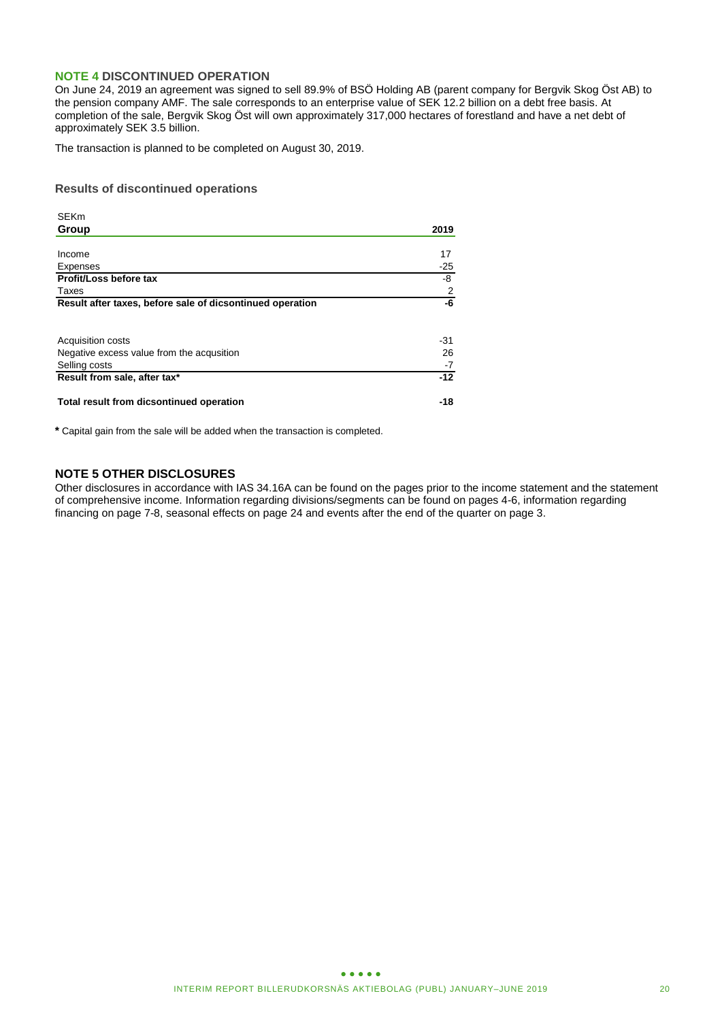### **NOTE 4 DISCONTINUED OPERATION**

On June 24, 2019 an agreement was signed to sell 89.9% of BSÖ Holding AB (parent company for Bergvik Skog Öst AB) to the pension company AMF. The sale corresponds to an enterprise value of SEK 12.2 billion on a debt free basis. At completion of the sale, Bergvik Skog Öst will own approximately 317,000 hectares of forestland and have a net debt of approximately SEK 3.5 billion.

The transaction is planned to be completed on August 30, 2019.

### **Results of discontinued operations**

| <b>SEKm</b>                                               |       |
|-----------------------------------------------------------|-------|
| Group                                                     | 2019  |
|                                                           |       |
| Income                                                    | 17    |
| Expenses                                                  | $-25$ |
| Profit/Loss before tax                                    | -8    |
| Taxes                                                     | 2     |
| Result after taxes, before sale of dicsontinued operation | -6    |
|                                                           |       |
| <b>Acquisition costs</b>                                  | -31   |
| Negative excess value from the acqusition                 | 26    |
| Selling costs                                             | $-7$  |
| Result from sale, after tax*                              | $-12$ |
| Total result from dicsontinued operation                  | -18   |

**\*** Capital gain from the sale will be added when the transaction is completed.

# **NOTE 5 OTHER DISCLOSURES**

Other disclosures in accordance with IAS 34.16A can be found on the pages prior to the income statement and the statement of comprehensive income. Information regarding divisions/segments can be found on pages 4-6, information regarding financing on page 7-8, seasonal effects on page 24 and events after the end of the quarter on page 3.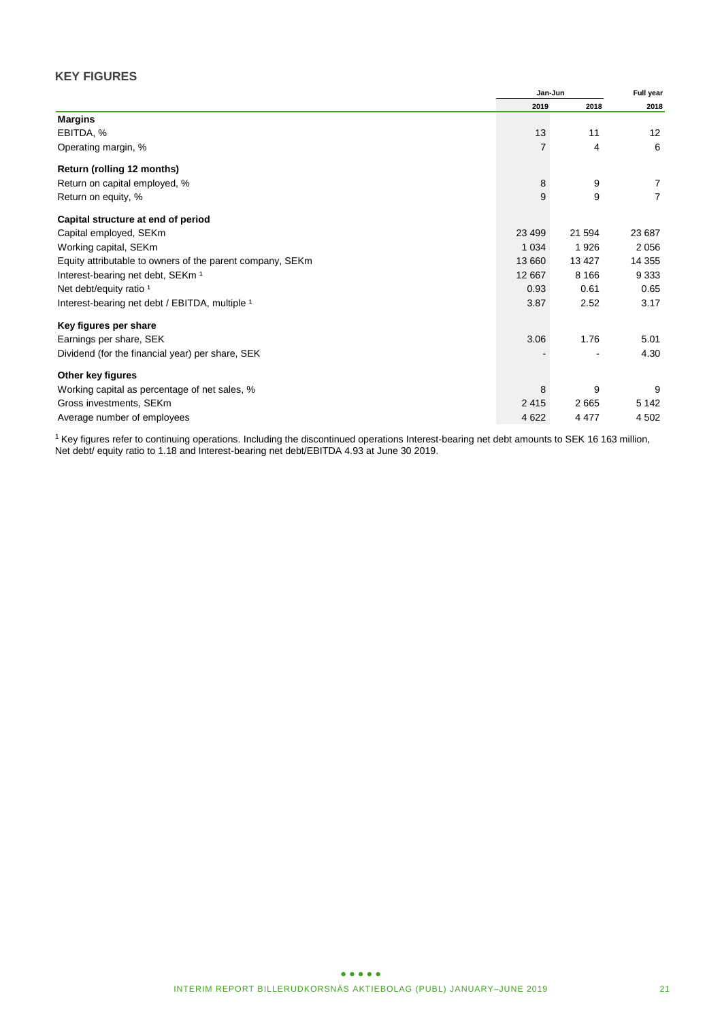# **KEY FIGURES**

|                                                           |          | Jan-Jun<br>2018<br>2019<br>13<br>11<br>4 |                |
|-----------------------------------------------------------|----------|------------------------------------------|----------------|
|                                                           |          |                                          | 2018           |
| <b>Margins</b>                                            |          |                                          |                |
| EBITDA, %                                                 |          |                                          | 12             |
| Operating margin, %                                       |          |                                          | 6              |
| Return (rolling 12 months)                                |          |                                          |                |
| Return on capital employed, %                             | 8        | 9                                        | 7              |
| Return on equity, %                                       | 9        | 9                                        | $\overline{7}$ |
| Capital structure at end of period                        |          |                                          |                |
| Capital employed, SEKm                                    | 23 4 9 9 | 21 594                                   | 23 687         |
| Working capital, SEKm                                     | 1 0 3 4  | 1926                                     | 2 0 5 6        |
| Equity attributable to owners of the parent company, SEKm | 13 660   | 13 4 27                                  | 14 3 55        |
| Interest-bearing net debt, SEKm <sup>1</sup>              | 12 667   | 8 1 6 6                                  | 9 3 3 3        |
| Net debt/equity ratio <sup>1</sup>                        | 0.93     | 0.61                                     | 0.65           |
| Interest-bearing net debt / EBITDA, multiple 1            | 3.87     | 2.52                                     | 3.17           |
| Key figures per share                                     |          |                                          |                |
| Earnings per share, SEK                                   | 3.06     | 1.76                                     | 5.01           |
| Dividend (for the financial year) per share, SEK          |          |                                          | 4.30           |
| Other key figures                                         |          |                                          |                |
| Working capital as percentage of net sales, %             | 8        | 9                                        | 9              |
| Gross investments, SEKm                                   | 2415     | 2665                                     | 5 1 4 2        |
| Average number of employees                               | 4622     | 4 4 7 7                                  | 4 5 0 2        |

<sup>1</sup> Key figures refer to continuing operations. Including the discontinued operations Interest-bearing net debt amounts to SEK 16 163 million, Net debt/ equity ratio to 1.18 and Interest-bearing net debt/EBITDA 4.93 at June 30 2019.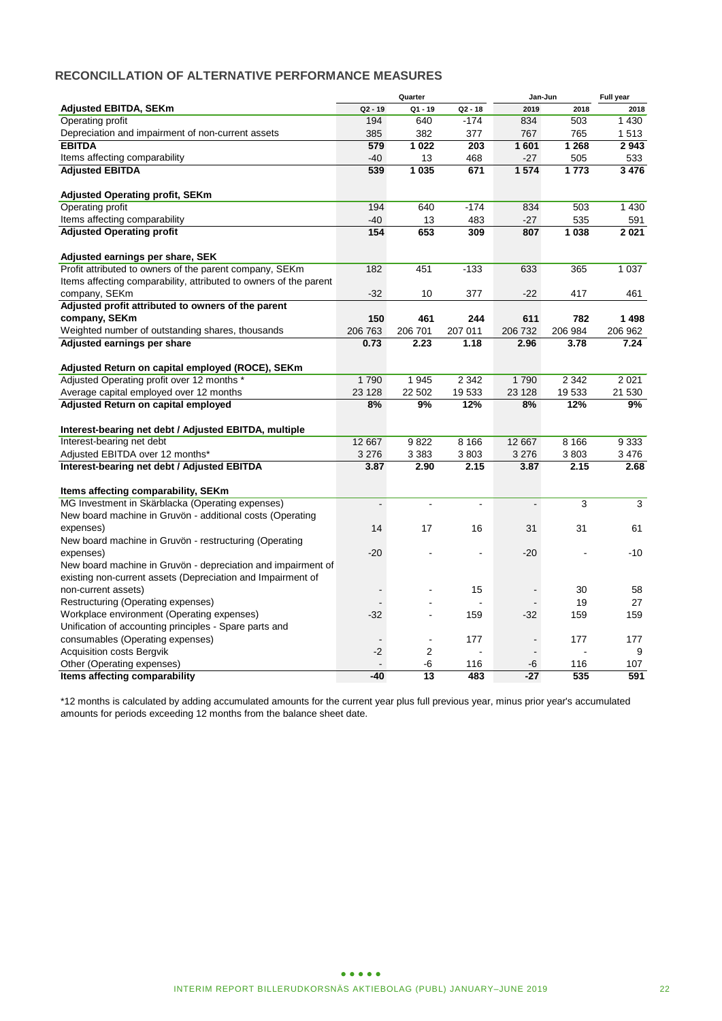# **RECONCILLATION OF ALTERNATIVE PERFORMANCE MEASURES**

|                                                                   |                | Quarter        |                | Jan-Jun        |         | Full year |
|-------------------------------------------------------------------|----------------|----------------|----------------|----------------|---------|-----------|
| <b>Adjusted EBITDA, SEKm</b>                                      | $Q2 - 19$      | $Q1 - 19$      | $Q2 - 18$      | 2019           | 2018    | 2018      |
| <b>Operating profit</b>                                           | 194            | 640            | $-174$         | 834            | 503     | 1 4 3 0   |
| Depreciation and impairment of non-current assets                 | 385            | 382            | 377            | 767            | 765     | 1513      |
| <b>EBITDA</b>                                                     | 579            | 1022           | 203            | 1601           | 1 2 6 8 | 2943      |
| Items affecting comparability                                     | $-40$          | 13             | 468            | $-27$          | 505     | 533       |
| <b>Adjusted EBITDA</b>                                            | 539            | 1 0 3 5        | 671            | 1574           | 1773    | 3 4 7 6   |
|                                                                   |                |                |                |                |         |           |
| <b>Adjusted Operating profit, SEKm</b>                            |                |                |                |                |         |           |
| <b>Operating profit</b>                                           | 194            | 640            | $-174$         | 834            | 503     | 1 4 3 0   |
| Items affecting comparability                                     | $-40$          | 13             | 483            | $-27$          | 535     | 591       |
| <b>Adjusted Operating profit</b>                                  | 154            | 653            | 309            | 807            | 1 0 38  | 2021      |
|                                                                   |                |                |                |                |         |           |
| Adjusted earnings per share, SEK                                  |                |                |                |                |         |           |
| Profit attributed to owners of the parent company, SEKm           | 182            | 451            | $-133$         | 633            | 365     | 1 0 3 7   |
| Items affecting comparability, attributed to owners of the parent |                |                |                |                |         |           |
| company, SEKm                                                     | $-32$          | 10             | 377            | $-22$          | 417     | 461       |
| Adjusted profit attributed to owners of the parent                |                |                |                |                |         |           |
| company, SEKm                                                     | 150            | 461            | 244            | 611            | 782     | 1498      |
| Weighted number of outstanding shares, thousands                  | 206 763        | 206 701        | 207 011        | 206 732        | 206 984 | 206 962   |
| Adjusted earnings per share                                       | 0.73           | 2.23           | 1.18           | 2.96           | 3.78    | 7.24      |
|                                                                   |                |                |                |                |         |           |
| Adjusted Return on capital employed (ROCE), SEKm                  |                |                |                |                |         |           |
| Adjusted Operating profit over 12 months *                        | 1790           | 1945           | 2 3 4 2        | 1790           | 2 3 4 2 | 2 0 21    |
| Average capital employed over 12 months                           | 23 128         | 22 502         | 19533          | 23 1 28        | 19533   | 21 530    |
| Adjusted Return on capital employed                               | 8%             | 9%             | 12%            | 8%             | 12%     | 9%        |
|                                                                   |                |                |                |                |         |           |
| Interest-bearing net debt / Adjusted EBITDA, multiple             |                |                |                |                |         |           |
| Interest-bearing net debt                                         | 12 667         | 9822           | 8 1 6 6        | 12 667         | 8 1 6 6 | 9333      |
| Adjusted EBITDA over 12 months*                                   | 3 2 7 6        | 3 3 8 3        | 3803           | 3 2 7 6        | 3803    | 3476      |
| Interest-bearing net debt / Adjusted EBITDA                       | 3.87           | 2.90           | 2.15           | 3.87           | 2.15    | 2.68      |
|                                                                   |                |                |                |                |         |           |
| Items affecting comparability, SEKm                               |                |                |                |                |         |           |
| MG Investment in Skärblacka (Operating expenses)                  | $\blacksquare$ | $\blacksquare$ | $\overline{a}$ | $\blacksquare$ | 3       | 3         |
| New board machine in Gruvön - additional costs (Operating         |                |                |                |                |         |           |
| expenses)                                                         | 14             | 17             | 16             | 31             | 31      | 61        |
| New board machine in Gruvön - restructuring (Operating            |                |                |                |                |         |           |
| expenses)                                                         | $-20$          |                |                | $-20$          |         | $-10$     |
| New board machine in Gruvön - depreciation and impairment of      |                |                |                |                |         |           |
| existing non-current assets (Depreciation and Impairment of       |                |                |                |                |         |           |
| non-current assets)                                               |                |                | 15             | $\blacksquare$ | 30      | 58        |
| Restructuring (Operating expenses)                                |                |                |                | $\blacksquare$ | 19      | 27        |
| Workplace environment (Operating expenses)                        | $-32$          |                | 159            | $-32$          | 159     | 159       |
| Unification of accounting principles - Spare parts and            |                |                |                |                |         |           |
| consumables (Operating expenses)                                  |                | $\blacksquare$ | 177            | $\blacksquare$ | 177     | 177       |
| <b>Acquisition costs Bergvik</b>                                  | $-2$           | $\overline{2}$ |                |                |         | 9         |
| Other (Operating expenses)                                        |                | -6             | 116            | -6             | 116     | 107       |
| Items affecting comparability                                     | $-40$          | 13             | 483            | $-27$          | 535     | 591       |

\*12 months is calculated by adding accumulated amounts for the current year plus full previous year, minus prior year's accumulated amounts for periods exceeding 12 months from the balance sheet date.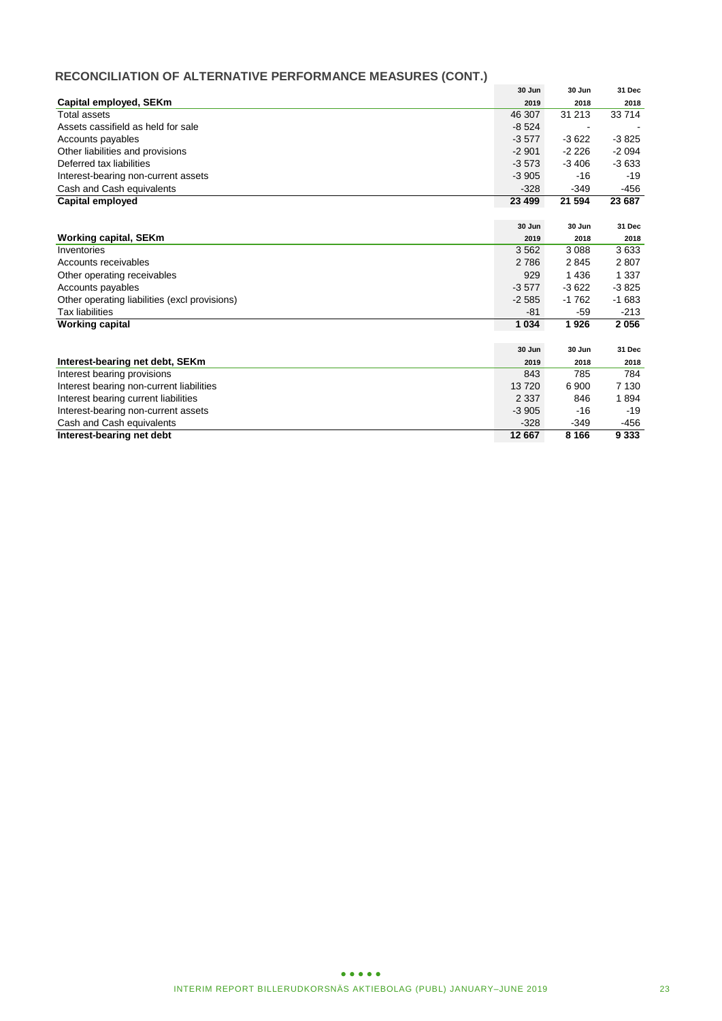# **RECONCILIATION OF ALTERNATIVE PERFORMANCE MEASURES (CONT.)**

|                                               | 30 Jun  | 30 Jun  | 31 Dec  |
|-----------------------------------------------|---------|---------|---------|
| Capital employed, SEKm                        | 2019    | 2018    | 2018    |
| Total assets                                  | 46 307  | 31 213  | 33714   |
| Assets cassifield as held for sale            | $-8524$ |         |         |
| Accounts payables                             | $-3577$ | $-3622$ | $-3825$ |
| Other liabilities and provisions              | $-2901$ | $-2226$ | $-2094$ |
| Deferred tax liabilities                      | $-3573$ | $-3406$ | $-3633$ |
| Interest-bearing non-current assets           | $-3905$ | $-16$   | $-19$   |
| Cash and Cash equivalents                     | $-328$  | $-349$  | -456    |
| Capital employed                              | 23 499  | 21 594  | 23 687  |
|                                               |         |         |         |
|                                               | 30 Jun  | 30 Jun  | 31 Dec  |
| <b>Working capital, SEKm</b>                  | 2019    | 2018    | 2018    |
| Inventories                                   | 3562    | 3 0 8 8 | 3633    |
| Accounts receivables                          | 2 7 8 6 | 2845    | 2807    |
| Other operating receivables                   | 929     | 1436    | 1 3 3 7 |
| Accounts payables                             | $-3577$ | $-3622$ | $-3825$ |
| Other operating liabilities (excl provisions) | $-2585$ | $-1762$ | $-1683$ |
| <b>Tax liabilities</b>                        | $-81$   | -59     | $-213$  |
| <b>Working capital</b>                        | 1 0 3 4 | 1926    | 2056    |
|                                               |         |         |         |
|                                               | 30 Jun  | 30 Jun  | 31 Dec  |
| Interest-bearing net debt, SEKm               | 2019    | 2018    | 2018    |
| Interest bearing provisions                   | 843     | 785     | 784     |
| Interest bearing non-current liabilities      | 13720   | 6900    | 7 1 3 0 |
| Interest bearing current liabilities          | 2 3 3 7 | 846     | 1894    |
| Interest-bearing non-current assets           | $-3905$ | $-16$   | $-19$   |
| Cash and Cash equivalents                     | $-328$  | $-349$  | -456    |
| Interest-bearing net debt                     | 12 667  | 8 1 6 6 | 9 3 3 3 |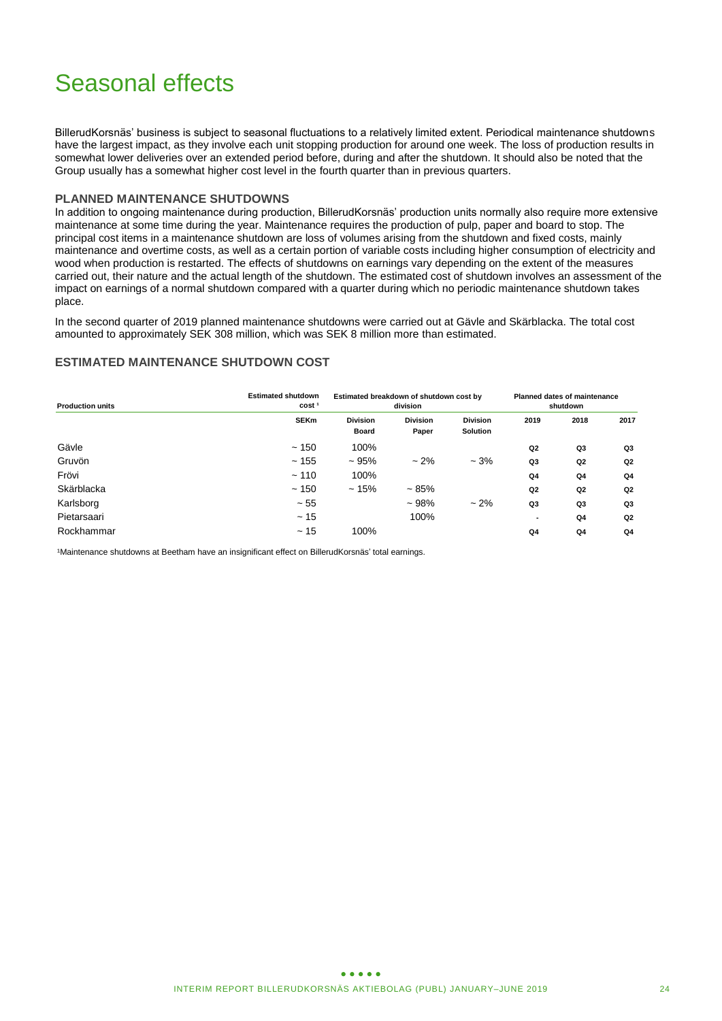# Seasonal effects

BillerudKorsnäs' business is subject to seasonal fluctuations to a relatively limited extent. Periodical maintenance shutdowns have the largest impact, as they involve each unit stopping production for around one week. The loss of production results in somewhat lower deliveries over an extended period before, during and after the shutdown. It should also be noted that the Group usually has a somewhat higher cost level in the fourth quarter than in previous quarters.

### **PLANNED MAINTENANCE SHUTDOWNS**

In addition to ongoing maintenance during production, BillerudKorsnäs' production units normally also require more extensive maintenance at some time during the year. Maintenance requires the production of pulp, paper and board to stop. The principal cost items in a maintenance shutdown are loss of volumes arising from the shutdown and fixed costs, mainly maintenance and overtime costs, as well as a certain portion of variable costs including higher consumption of electricity and wood when production is restarted. The effects of shutdowns on earnings vary depending on the extent of the measures carried out, their nature and the actual length of the shutdown. The estimated cost of shutdown involves an assessment of the impact on earnings of a normal shutdown compared with a quarter during which no periodic maintenance shutdown takes place.

In the second quarter of 2019 planned maintenance shutdowns were carried out at Gävle and Skärblacka. The total cost amounted to approximately SEK 308 million, which was SEK 8 million more than estimated.

### **ESTIMATED MAINTENANCE SHUTDOWN COST**

| <b>Production units</b> | <b>Estimated shutdown</b><br>cost <sup>1</sup> | Estimated breakdown of shutdown cost by<br>division |                          |                                    | <b>Planned dates of maintenance</b><br>shutdown |                |      |
|-------------------------|------------------------------------------------|-----------------------------------------------------|--------------------------|------------------------------------|-------------------------------------------------|----------------|------|
|                         | <b>SEKm</b>                                    | <b>Division</b><br><b>Board</b>                     | <b>Division</b><br>Paper | <b>Division</b><br><b>Solution</b> | 2019                                            | 2018           | 2017 |
| Gävle                   | ~150                                           | 100%                                                |                          |                                    | Q <sub>2</sub>                                  | Q3             | Q3   |
| Gruvön                  | ~155                                           | ~105%                                               | $~2\%$                   | $-3%$                              | Q3                                              | Q2             | Q2   |
| Frövi                   | ~110                                           | 100%                                                |                          |                                    | Q <sub>4</sub>                                  | Q4             | Q4   |
| Skärblacka              | ~150                                           | ~15%                                                | $~1.85\%$                |                                    | Q <sub>2</sub>                                  | Q2             | Q2   |
| Karlsborg               | ~155                                           |                                                     | $~108\%$                 | $~2\%$                             | Q3                                              | Q3             | Q3   |
| Pietarsaari             | ~15                                            |                                                     | 100%                     |                                    |                                                 | Q <sub>4</sub> | Q2   |
| Rockhammar              | ~15                                            | 100%                                                |                          |                                    | Q4                                              | Q <sub>4</sub> | Q4   |

1Maintenance shutdowns at Beetham have an insignificant effect on BillerudKorsnäs' total earnings.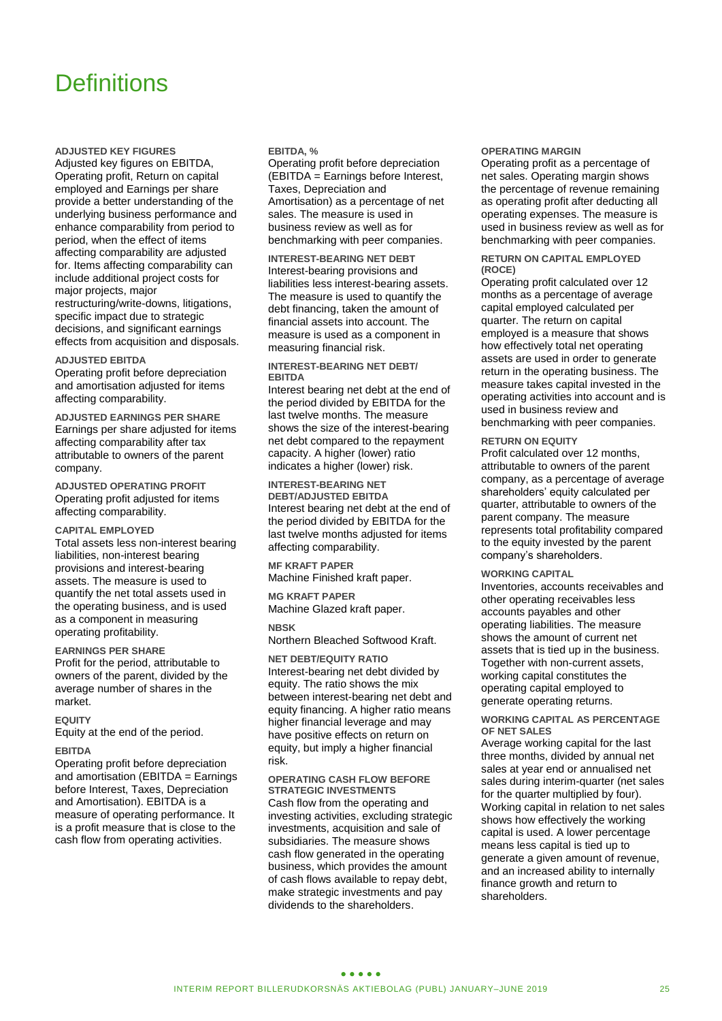# **Definitions**

**ADJUSTED KEY FIGURES**

Adjusted key figures on EBITDA, Operating profit, Return on capital employed and Earnings per share provide a better understanding of the underlying business performance and enhance comparability from period to period, when the effect of items affecting comparability are adjusted for. Items affecting comparability can include additional project costs for major projects, major restructuring/write-downs, litigations, specific impact due to strategic decisions, and significant earnings effects from acquisition and disposals.

#### **ADJUSTED EBITDA**

Operating profit before depreciation and amortisation adjusted for items affecting comparability.

**ADJUSTED EARNINGS PER SHARE** Earnings per share adjusted for items affecting comparability after tax attributable to owners of the parent company.

**ADJUSTED OPERATING PROFIT** Operating profit adjusted for items affecting comparability.

#### **CAPITAL EMPLOYED**

Total assets less non-interest bearing liabilities, non-interest bearing provisions and interest-bearing assets. The measure is used to quantify the net total assets used in the operating business, and is used as a component in measuring operating profitability.

#### **EARNINGS PER SHARE**

Profit for the period, attributable to owners of the parent, divided by the average number of shares in the market.

#### **EQUITY**

Equity at the end of the period.

#### **EBITDA**

Operating profit before depreciation and amortisation (EBITDA = Earnings before Interest, Taxes, Depreciation and Amortisation). EBITDA is a measure of operating performance. It is a profit measure that is close to the cash flow from operating activities.

#### **EBITDA, %**

Operating profit before depreciation (EBITDA = Earnings before Interest, Taxes, Depreciation and Amortisation) as a percentage of net sales. The measure is used in business review as well as for benchmarking with peer companies.

**INTEREST-BEARING NET DEBT** Interest-bearing provisions and liabilities less interest-bearing assets. The measure is used to quantify the debt financing, taken the amount of financial assets into account. The measure is used as a component in measuring financial risk.

#### **INTEREST-BEARING NET DEBT/ EBITDA**

Interest bearing net debt at the end of the period divided by EBITDA for the last twelve months. The measure shows the size of the interest-bearing net debt compared to the repayment capacity. A higher (lower) ratio indicates a higher (lower) risk.

**INTEREST-BEARING NET DEBT/ADJUSTED EBITDA** Interest bearing net debt at the end of the period divided by EBITDA for the last twelve months adjusted for items affecting comparability.

**MF KRAFT PAPER** Machine Finished kraft paper.

**MG KRAFT PAPER** Machine Glazed kraft paper.

#### **NBSK**

Northern Bleached Softwood Kraft.

**NET DEBT/EQUITY RATIO** Interest-bearing net debt divided by equity. The ratio shows the mix between interest-bearing net debt and equity financing. A higher ratio means higher financial leverage and may have positive effects on return on equity, but imply a higher financial risk.

**OPERATING CASH FLOW BEFORE STRATEGIC INVESTMENTS** Cash flow from the operating and investing activities, excluding strategic investments, acquisition and sale of subsidiaries. The measure shows cash flow generated in the operating business, which provides the amount of cash flows available to repay debt, make strategic investments and pay dividends to the shareholders.

#### **OPERATING MARGIN**

Operating profit as a percentage of net sales. Operating margin shows the percentage of revenue remaining as operating profit after deducting all operating expenses. The measure is used in business review as well as for benchmarking with peer companies.

#### **RETURN ON CAPITAL EMPLOYED (ROCE)**

Operating profit calculated over 12 months as a percentage of average capital employed calculated per quarter. The return on capital employed is a measure that shows how effectively total net operating assets are used in order to generate return in the operating business. The measure takes capital invested in the operating activities into account and is used in business review and benchmarking with peer companies.

#### **RETURN ON EQUITY**

Profit calculated over 12 months, attributable to owners of the parent company, as a percentage of average shareholders' equity calculated per quarter, attributable to owners of the parent company. The measure represents total profitability compared to the equity invested by the parent company's shareholders.

#### **WORKING CAPITAL**

Inventories, accounts receivables and other operating receivables less accounts payables and other operating liabilities. The measure shows the amount of current net assets that is tied up in the business. Together with non-current assets, working capital constitutes the operating capital employed to generate operating returns.

#### **WORKING CAPITAL AS PERCENTAGE OF NET SALES**

Average working capital for the last three months, divided by annual net sales at year end or annualised net sales during interim-quarter (net sales for the quarter multiplied by four). Working capital in relation to net sales shows how effectively the working capital is used. A lower percentage means less capital is tied up to generate a given amount of revenue, and an increased ability to internally finance growth and return to shareholders.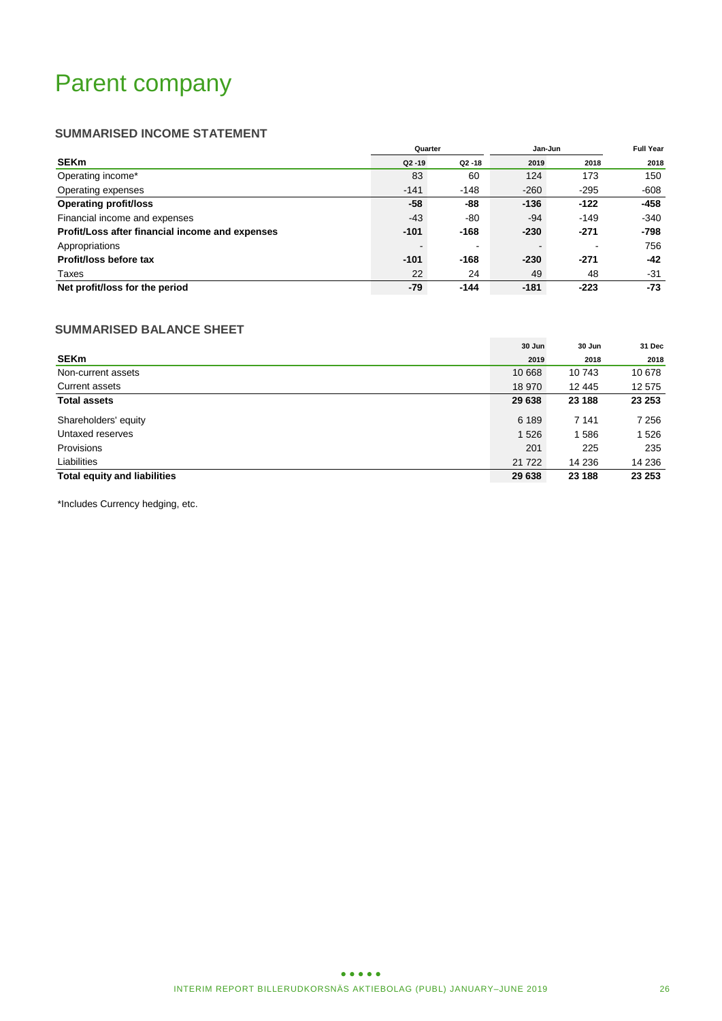# Parent company

# **SUMMARISED INCOME STATEMENT**

|                                                 | Quarter   |           | Jan-Jun | <b>Full Year</b>         |        |
|-------------------------------------------------|-----------|-----------|---------|--------------------------|--------|
| <b>SEKm</b>                                     | $Q2 - 19$ | $Q2 - 18$ | 2019    | 2018                     | 2018   |
| Operating income*                               | 83        | 60        | 124     | 173                      | 150    |
| Operating expenses                              | $-141$    | $-148$    | $-260$  | $-295$                   | -608   |
| <b>Operating profit/loss</b>                    | $-58$     | -88       | $-136$  | $-122$                   | -458   |
| Financial income and expenses                   | $-43$     | -80       | -94     | $-149$                   | $-340$ |
| Profit/Loss after financial income and expenses | $-101$    | $-168$    | $-230$  | $-271$                   | -798   |
| Appropriations                                  |           |           |         | $\overline{\phantom{0}}$ | 756    |
| Profit/loss before tax                          | $-101$    | -168      | $-230$  | $-271$                   | $-42$  |
| Taxes                                           | 22        | 24        | 49      | 48                       | -31    |
| Net profit/loss for the period                  | -79       | $-144$    | $-181$  | $-223$                   | -73    |

# **SUMMARISED BALANCE SHEET**

|                                     | 30 Jun  | 30 Jun  | 31 Dec  |
|-------------------------------------|---------|---------|---------|
| <b>SEKm</b>                         | 2019    | 2018    | 2018    |
| Non-current assets                  | 10 668  | 10 743  | 10 678  |
| <b>Current assets</b>               | 18 970  | 12 445  | 12 575  |
| <b>Total assets</b>                 | 29 638  | 23 188  | 23 253  |
| Shareholders' equity                | 6 189   | 7 1 4 1 | 7 2 5 6 |
| Untaxed reserves                    | 1 5 2 6 | 1586    | 1 5 2 6 |
| Provisions                          | 201     | 225     | 235     |
| Liabilities                         | 21 7 22 | 14 236  | 14 236  |
| <b>Total equity and liabilities</b> | 29 638  | 23 188  | 23 253  |

\*Includes Currency hedging, etc.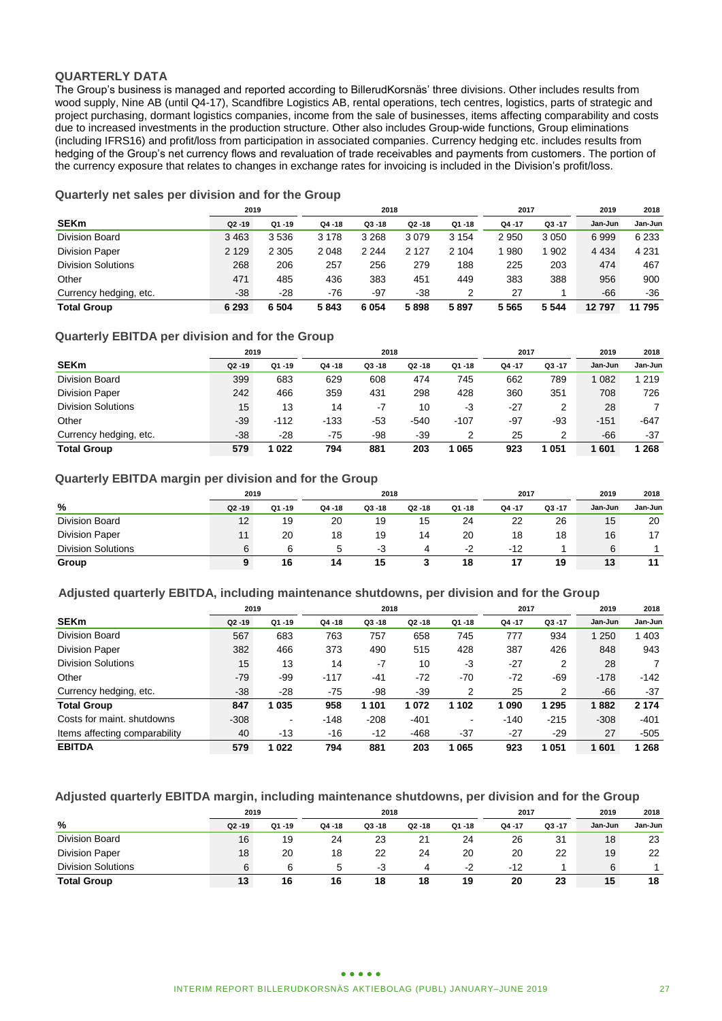### **QUARTERLY DATA**

The Group's business is managed and reported according to BillerudKorsnäs' three divisions. Other includes results from wood supply, Nine AB (until Q4-17), Scandfibre Logistics AB, rental operations, tech centres, logistics, parts of strategic and project purchasing, dormant logistics companies, income from the sale of businesses, items affecting comparability and costs due to increased investments in the production structure. Other also includes Group-wide functions, Group eliminations (including IFRS16) and profit/loss from participation in associated companies. Currency hedging etc. includes results from hedging of the Group's net currency flows and revaluation of trade receivables and payments from customers. The portion of the currency exposure that relates to changes in exchange rates for invoicing is included in the Division's profit/loss.

# **Quarterly net sales per division and for the Group**

|                           | 2019      |           | 2018      |           |           |           | 2017  |           | 2019    | 2018    |
|---------------------------|-----------|-----------|-----------|-----------|-----------|-----------|-------|-----------|---------|---------|
| <b>SEKm</b>               | $Q2 - 19$ | $Q1 - 19$ | $Q4 - 18$ | $Q3 - 18$ | $Q2 - 18$ | $Q1 - 18$ | Q4-17 | $Q3 - 17$ | Jan-Jun | Jan-Jun |
| <b>Division Board</b>     | 3463      | 3536      | 3 1 7 8   | 3 2 6 8   | 3079      | 3 1 5 4   | 2950  | 3 0 5 0   | 6999    | 6 2 3 3 |
| <b>Division Paper</b>     | 2 1 2 9   | 2 3 0 5   | 2 0 4 8   | 2 2 4 4   | 2 1 2 7   | 2 1 0 4   | 980   | 1 902     | 4 4 3 4 | 4 2 3 1 |
| <b>Division Solutions</b> | 268       | 206       | 257       | 256       | 279       | 188       | 225   | 203       | 474     | 467     |
| Other                     | 471       | 485       | 436       | 383       | 451       | 449       | 383   | 388       | 956     | 900     |
| Currency hedging, etc.    | $-38$     | $-28$     | $-76$     | $-97$     | -38       |           | 27    |           | $-66$   | -36     |
| <b>Total Group</b>        | 6 2 9 3   | 6 5 0 4   | 5843      | 6054      | 5898      | 5897      | 5565  | 5 5 4 4   | 12797   | 11 795  |

# **Quarterly EBITDA per division and for the Group**

|                           | 2019      |           |           | 2018      |           |           | 2017   |           | 2019    | 2018    |
|---------------------------|-----------|-----------|-----------|-----------|-----------|-----------|--------|-----------|---------|---------|
| <b>SEKm</b>               | $Q2 - 19$ | $Q1 - 19$ | $Q4 - 18$ | $Q3 - 18$ | $Q2 - 18$ | $Q1 - 18$ | Q4 -17 | $Q3 - 17$ | Jan-Jun | Jan-Jun |
| Division Board            | 399       | 683       | 629       | 608       | 474       | 745       | 662    | 789       | 1 0 8 2 | 1 219   |
| <b>Division Paper</b>     | 242       | 466       | 359       | 431       | 298       | 428       | 360    | 351       | 708     | 726     |
| <b>Division Solutions</b> | 15        | 13        | 14        | -7        | 10        | -3        | $-27$  | 2         | 28      |         |
| Other                     | $-39$     | $-112$    | $-133$    | -53       | $-540$    | $-107$    | $-97$  | -93       | $-151$  | -647    |
| Currency hedging, etc.    | $-38$     | $-28$     | $-75$     | -98       | $-39$     | っ         | 25     | 2         | $-66$   | $-37$   |
| <b>Total Group</b>        | 579       | 022       | 794       | 881       | 203       | 065       | 923    | 051       | 601     | 268     |

### **Quarterly EBITDA margin per division and for the Group**

|                           |           | 2019<br>2018 |           |           |           | 2017   |        | 2019      | 2018    |         |
|---------------------------|-----------|--------------|-----------|-----------|-----------|--------|--------|-----------|---------|---------|
| %                         | $Q2 - 19$ | Q1 -19       | $Q4 - 18$ | $Q3 - 18$ | $Q2 - 18$ | Q1 -18 | Q4 -17 | $Q3 - 17$ | Jan-Jun | Jan-Jun |
| Division Board            | 12        | 19           | 20        | 19        | 15        | 24     | 22     | 26        | 15      | 20      |
| <b>Division Paper</b>     |           | 20           | 18        | 19        | 14        | 20     | 18     | 18        | 16      | 17      |
| <b>Division Solutions</b> | 6         | 6            | 'n.       | -3        |           | -2     | $-12$  |           | 6       |         |
| Group                     |           | 16           | 14        | 15        |           | 18     |        | 19        | 13      | 11      |

### **Adjusted quarterly EBITDA, including maintenance shutdowns, per division and for the Group**

|                               | 2019      |           |           | 2018      |           |           | 2017   |           | 2019    | 2018    |
|-------------------------------|-----------|-----------|-----------|-----------|-----------|-----------|--------|-----------|---------|---------|
| <b>SEKm</b>                   | $Q2 - 19$ | $Q1 - 19$ | $Q4 - 18$ | $Q3 - 18$ | $Q2 - 18$ | $Q1 - 18$ | Q4-17  | $Q3 - 17$ | Jan-Jun | Jan-Jun |
| Division Board                | 567       | 683       | 763       | 757       | 658       | 745       | 777    | 934       | 250     | 403     |
| <b>Division Paper</b>         | 382       | 466       | 373       | 490       | 515       | 428       | 387    | 426       | 848     | 943     |
| <b>Division Solutions</b>     | 15        | 13        | 14        | $-7$      | 10        | -3        | $-27$  | 2         | 28      |         |
| Other                         | $-79$     | -99       | $-117$    | $-41$     | $-72$     | $-70$     | $-72$  | $-69$     | $-178$  | $-142$  |
| Currency hedging, etc.        | $-38$     | $-28$     | $-75$     | -98       | $-39$     | 2         | 25     | 2         | -66     | $-37$   |
| <b>Total Group</b>            | 847       | 035       | 958       | 1 1 0 1   | 1072      | 1 102     | 090    | 1 2 9 5   | 1882    | 2 1 7 4 |
| Costs for maint, shutdowns    | $-308$    | ۰         | $-148$    | $-208$    | -401      | ۰         | $-140$ | $-215$    | $-308$  | $-401$  |
| Items affecting comparability | 40        | $-13$     | $-16$     | $-12$     | $-468$    | $-37$     | $-27$  | $-29$     | 27      | $-505$  |
| <b>EBITDA</b>                 | 579       | 022       | 794       | 881       | 203       | 065       | 923    | 1051      | 1601    | 268     |

#### **Adjusted quarterly EBITDA margin, including maintenance shutdowns, per division and for the Group**

|                           |           | 2019   |        | 2018      |           |        |        | 2017      | 2019    | 2018    |
|---------------------------|-----------|--------|--------|-----------|-----------|--------|--------|-----------|---------|---------|
| %                         | $Q2 - 19$ | Q1 -19 | Q4 -18 | $Q3 - 18$ | $Q2 - 18$ | Q1 -18 | Q4 -17 | $Q3 - 17$ | Jan-Jun | Jan-Jun |
| Division Board            | 16        | 19     | 24     | 23        | 21        | 24     | 26     | 31        | 18      | 23      |
| <b>Division Paper</b>     | 18        | 20     | 18     | 22        | 24        | 20     | 20     | 22        | 19      | 22      |
| <b>Division Solutions</b> | 6         | 6      |        | -3        |           | $-2$   | -12    |           | 6       |         |
| <b>Total Group</b>        | 13        | 16     | 16     | 18        | 18        | 19     | 20     | 23        | 15      | 18      |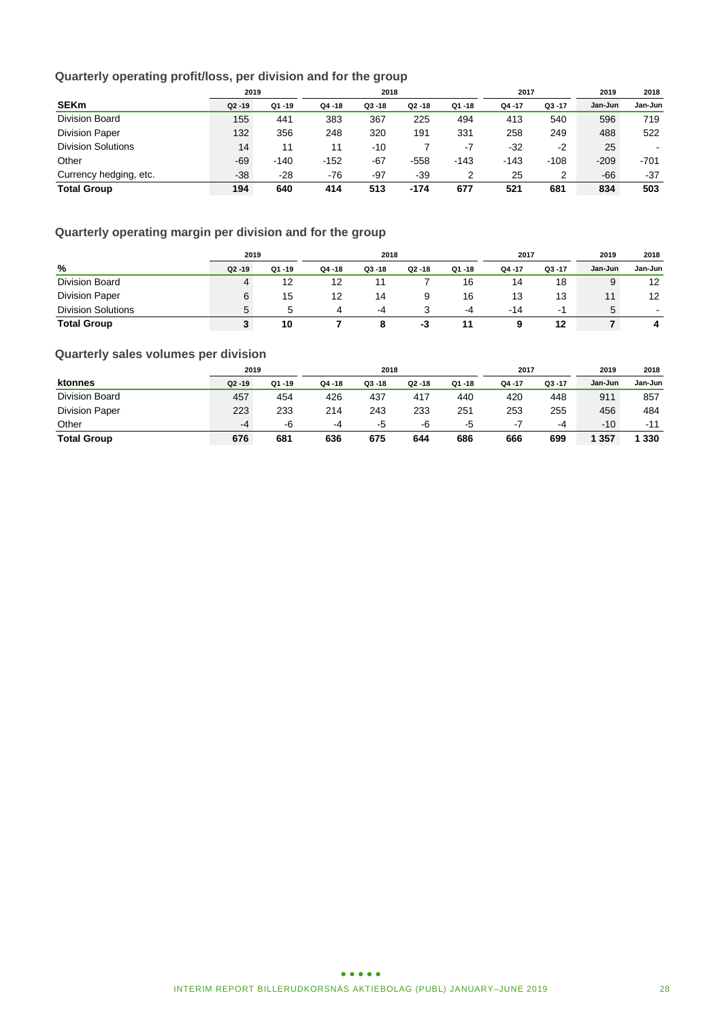# **Quarterly operating profit/loss, per division and for the group**

|                           | 2019      |           | 2018   |           |           |           | 2017   |           | 2019    | 2018    |
|---------------------------|-----------|-----------|--------|-----------|-----------|-----------|--------|-----------|---------|---------|
| <b>SEKm</b>               | $Q2 - 19$ | $Q1 - 19$ | Q4-18  | $Q3 - 18$ | $Q2 - 18$ | $Q1 - 18$ | Q4-17  | $Q3 - 17$ | Jan-Jun | Jan-Jun |
| <b>Division Board</b>     | 155       | 441       | 383    | 367       | 225       | 494       | 413    | 540       | 596     | 719     |
| <b>Division Paper</b>     | 132       | 356       | 248    | 320       | 191       | 331       | 258    | 249       | 488     | 522     |
| <b>Division Solutions</b> | 14        | 11        | 11     | $-10$     |           | -7        | $-32$  | -2        | 25      |         |
| Other                     | $-69$     | $-140$    | $-152$ | $-67$     | $-558$    | $-143$    | $-143$ | $-108$    | $-209$  | $-701$  |
| Currency hedging, etc.    | $-38$     | $-28$     | $-76$  | $-97$     | $-39$     |           | 25     | 2         | $-66$   | $-37$   |
| <b>Total Group</b>        | 194       | 640       | 414    | 513       | $-174$    | 677       | 521    | 681       | 834     | 503     |

# **Quarterly operating margin per division and for the group**

|                           | 2019      |        | 2018   |           |           |        | 2017   |           | 2019    | 2018           |
|---------------------------|-----------|--------|--------|-----------|-----------|--------|--------|-----------|---------|----------------|
| %                         | $Q2 - 19$ | Q1 -19 | Q4 -18 | $Q3 - 18$ | $Q2 - 18$ | Q1 -18 | Q4 -17 | $Q3 - 17$ | Jan-Jun | Jan-Jun        |
| Division Board            | 4         | 12     | 12     |           |           | 16     | 14     | 18        | 9       | 12             |
| <b>Division Paper</b>     |           | 15     | 12     | 14        |           | 16     | 13     | 13        | 11      | 12             |
| <b>Division Solutions</b> | 'n.       |        | 4      | -4        |           | -4     | $-14$  | - 1       | 5       | $\blacksquare$ |
| <b>Total Group</b>        |           | 10     |        | 8         | -3        |        | a      | 12        |         | 4              |

# **Quarterly sales volumes per division**

|                       | 2019      |           | 2018      |           |           |           | 2017   |           | 2019    | 2018    |
|-----------------------|-----------|-----------|-----------|-----------|-----------|-----------|--------|-----------|---------|---------|
| ktonnes               | $Q2 - 19$ | $Q1 - 19$ | $Q4 - 18$ | $Q3 - 18$ | $Q2 - 18$ | $Q1 - 18$ | Q4 -17 | $Q3 - 17$ | Jan-Jun | Jan-Jun |
| Division Board        | 457       | 454       | 426       | 437       | 417       | 440       | 420    | 448       | 911     | 857     |
| <b>Division Paper</b> | 223       | 233       | 214       | 243       | 233       | 251       | 253    | 255       | 456     | 484     |
| Other                 | -4        | -6        | -4        | -5        | -6        | -5        | - 1    | -4        | $-10$   | $-11$   |
| <b>Total Group</b>    | 676       | 681       | 636       | 675       | 644       | 686       | 666    | 699       | 1 3 5 7 | 330     |